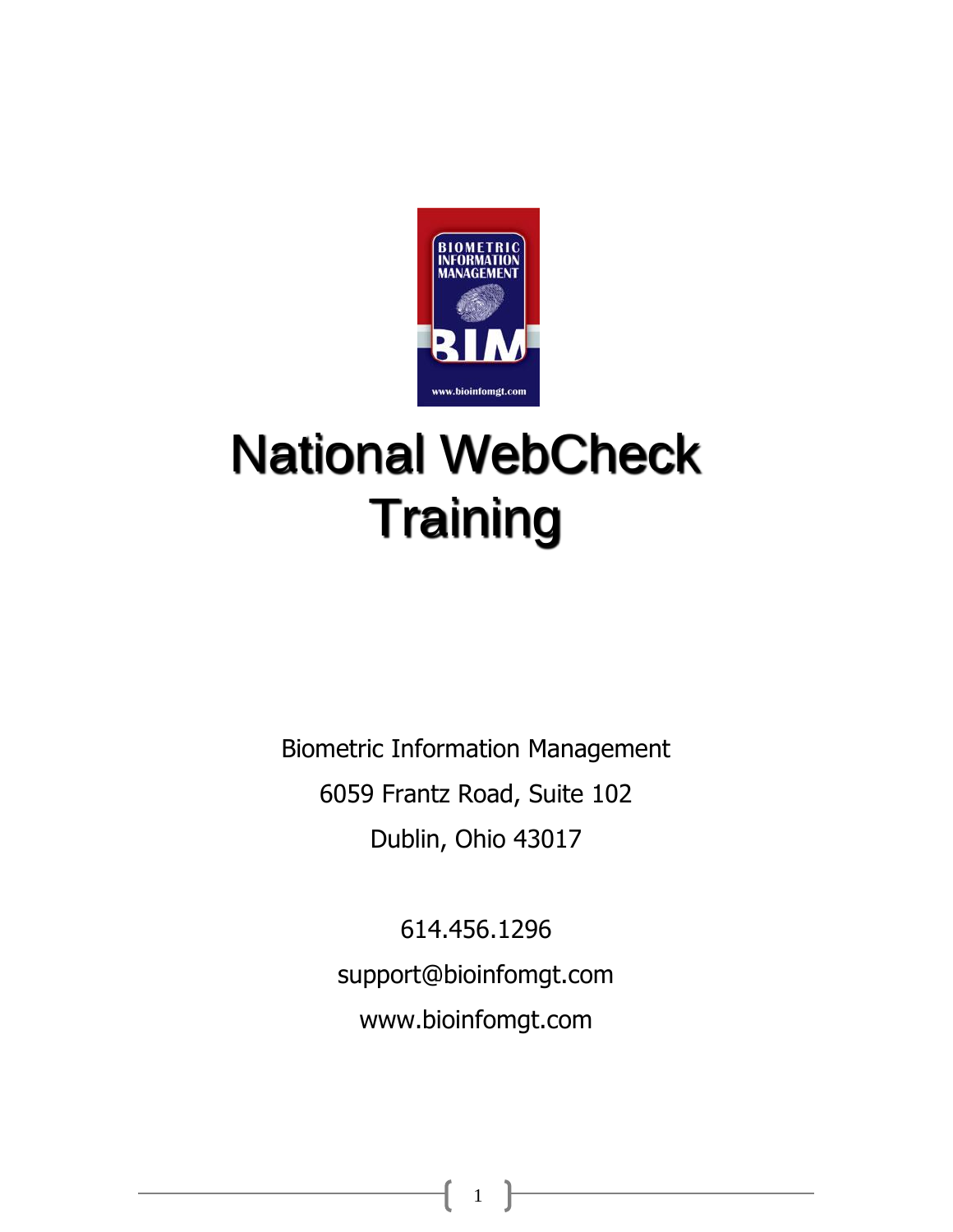

# National WebCheck **Training**

Biometric Information Management 6059 Frantz Road, Suite 102 Dublin, Ohio 43017

> 614.456.1296 support@bioinfomgt.com www.bioinfomgt.com

> > 1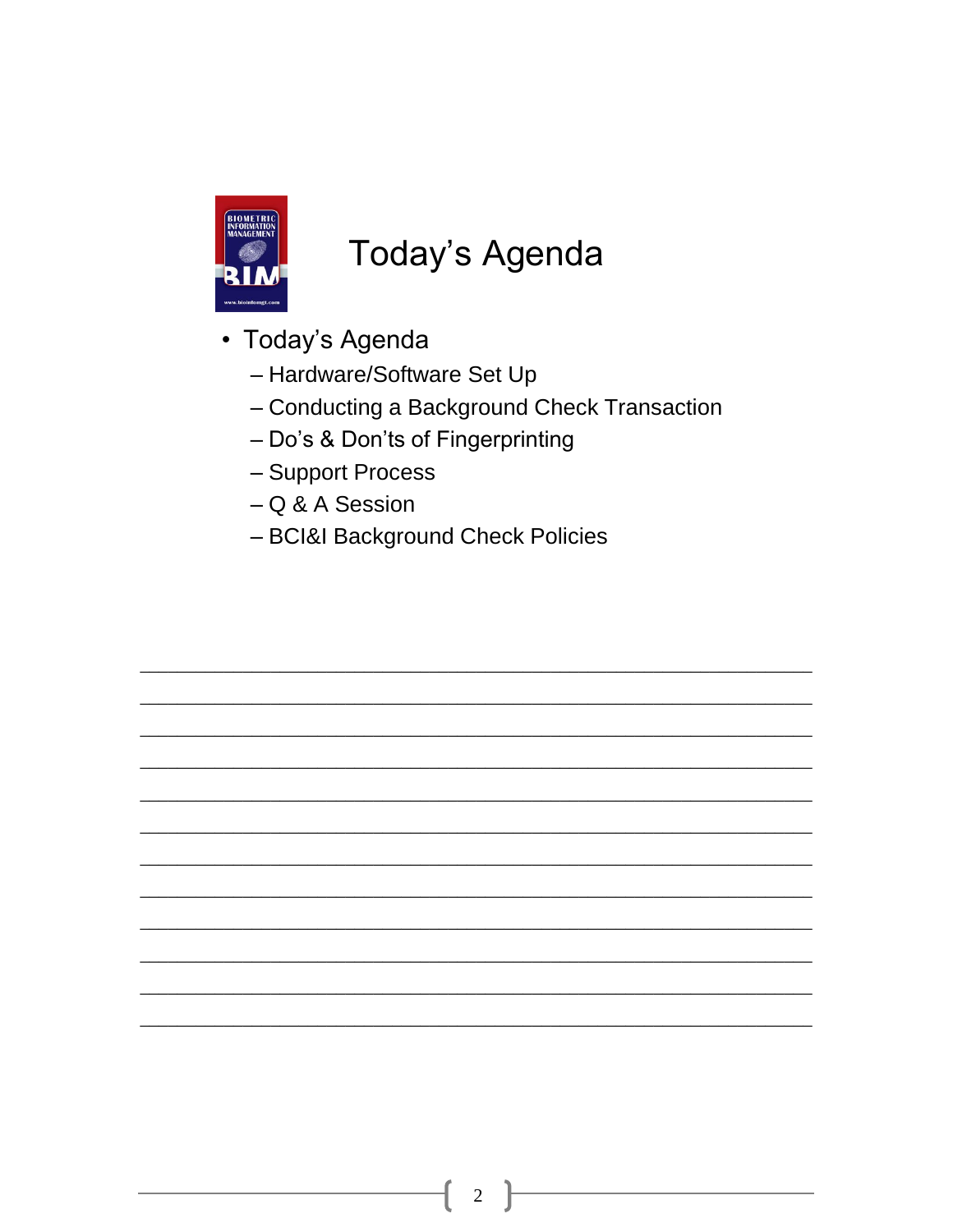

#### Today's Agenda

- · Today's Agenda
	- Hardware/Software Set Up
	- Conducting a Background Check Transaction
	- Do's & Don'ts of Fingerprinting
	- Support Process
	- $-Q & A$  Session
	- BCI&I Background Check Policies

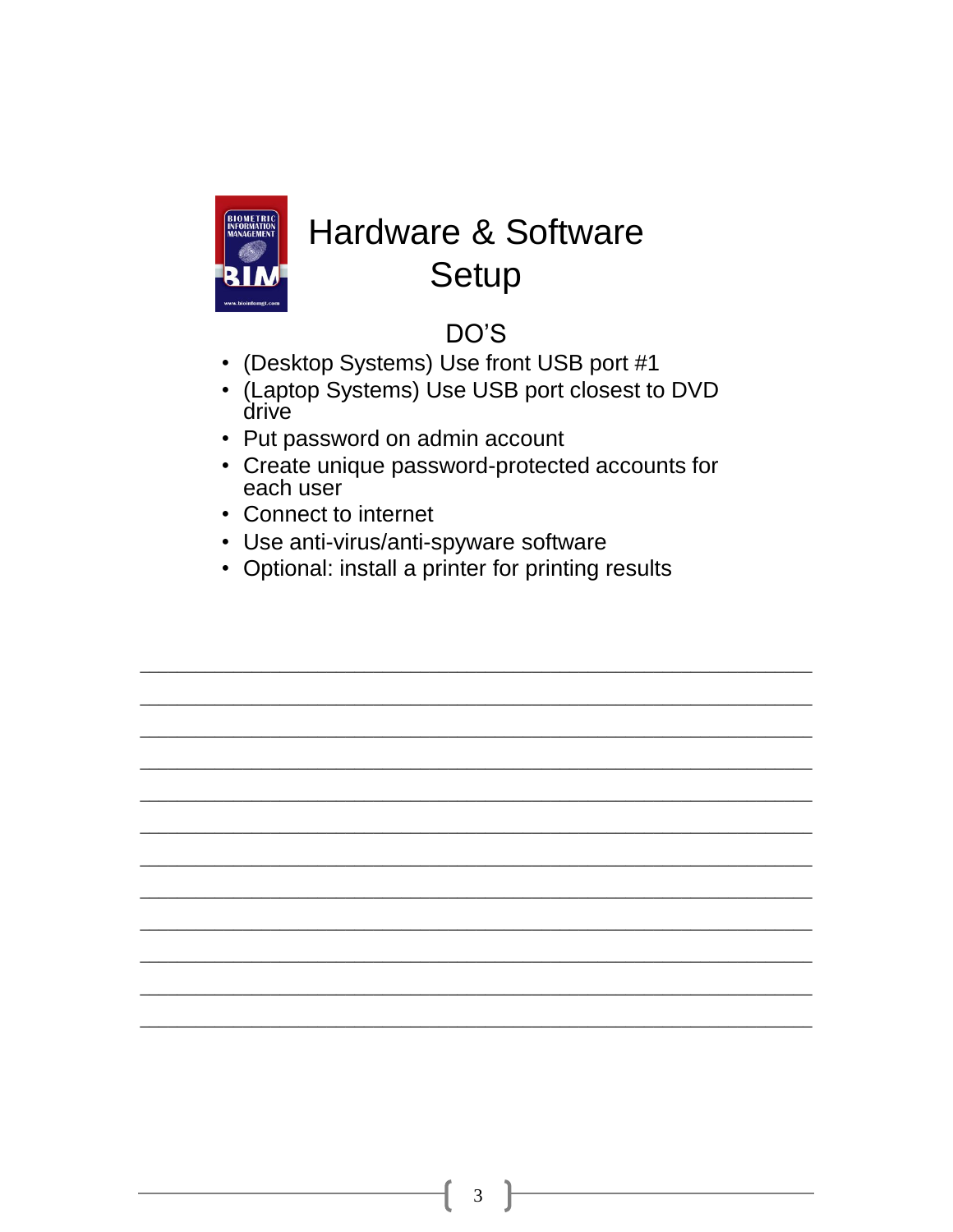

### **Hardware & Software** Setup

#### DO'S

- (Desktop Systems) Use front USB port #1
- (Laptop Systems) Use USB port closest to DVD drive
- Put password on admin account
- Create unique password-protected accounts for each user
- Connect to internet
- Use anti-virus/anti-spyware software
- Optional: install a printer for printing results

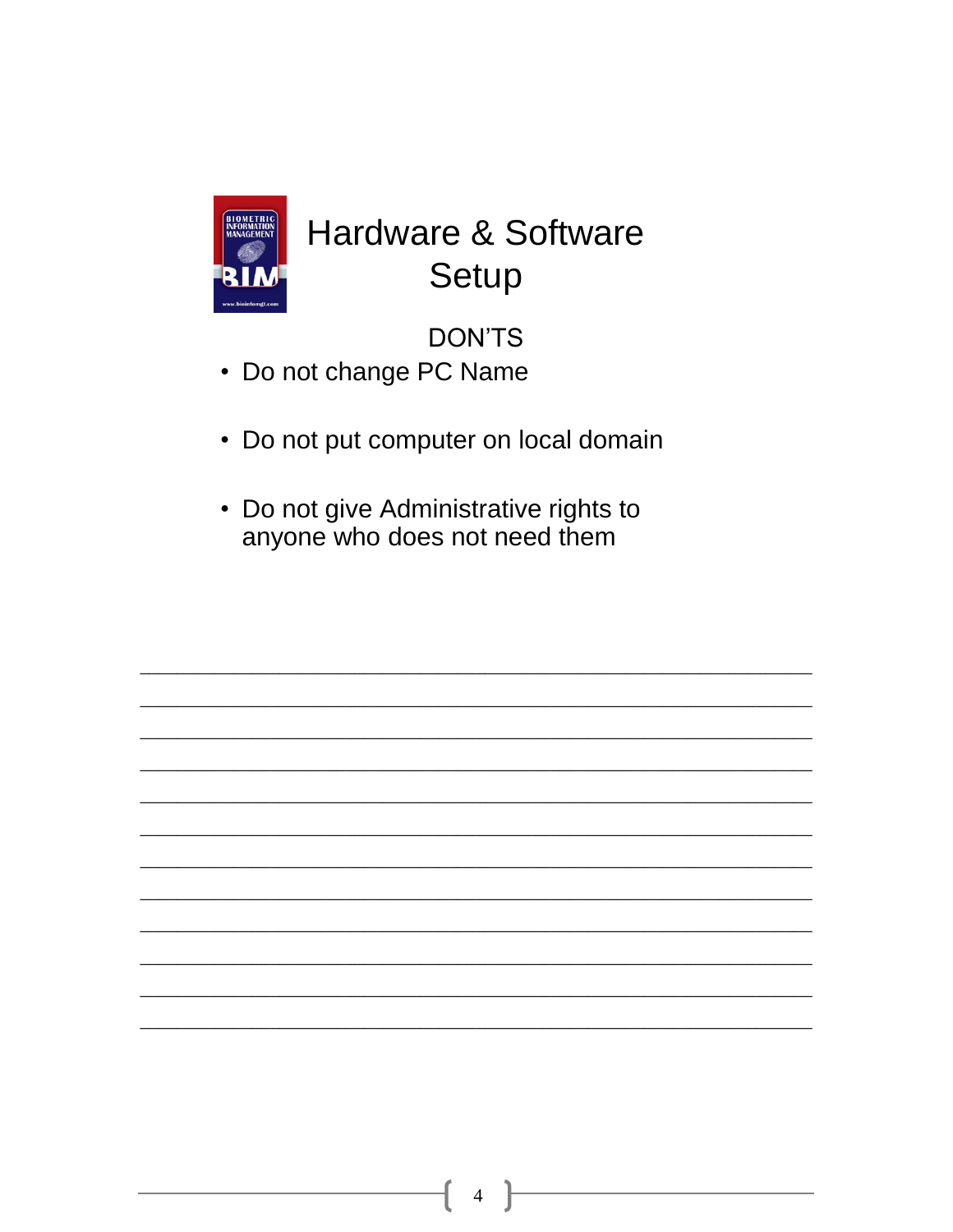

### **Hardware & Software** Setup

**DON'TS** 

- Do not change PC Name
- Do not put computer on local domain
- Do not give Administrative rights to anyone who does not need them

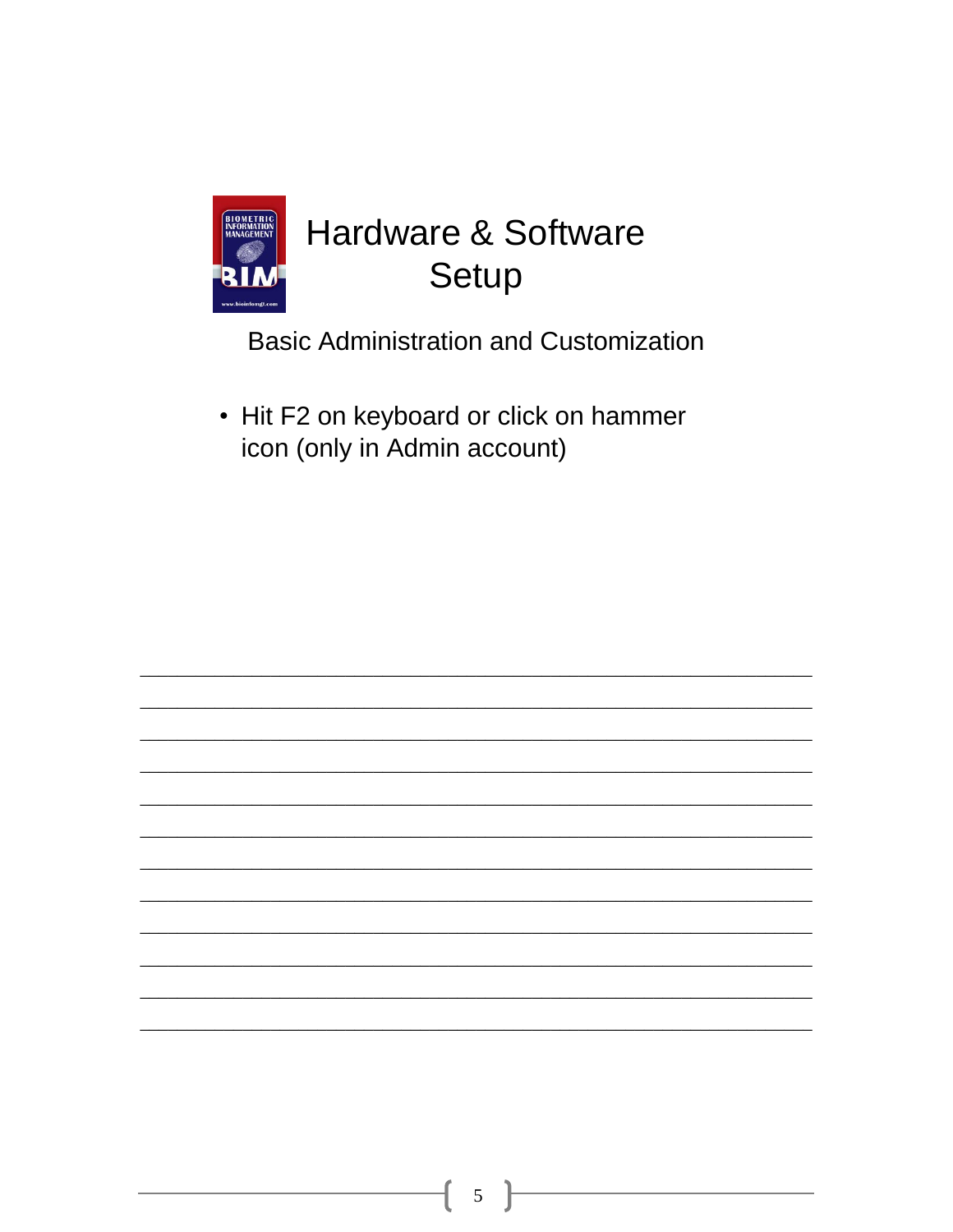

**Basic Administration and Customization** 

• Hit F2 on keyboard or click on hammer icon (only in Admin account)

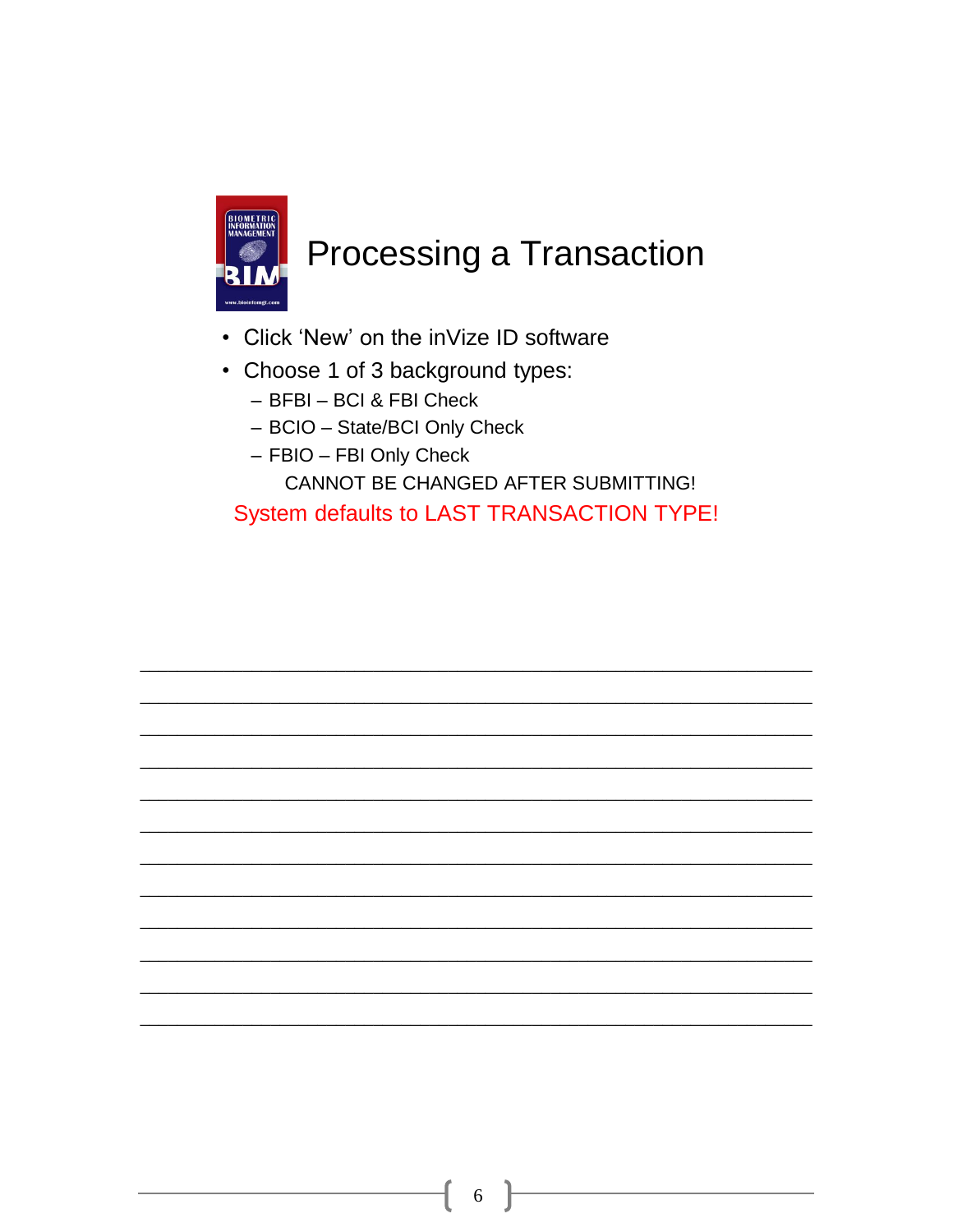

- Click 'New' on the inVize ID software
- Choose 1 of 3 background types:
	- BFBI BCI & FBI Check
	- BCIO State/BCI Only Check
	- FBIO FBI Only Check

CANNOT BE CHANGED AFTER SUBMITTING!

System defaults to LAST TRANSACTION TYPE!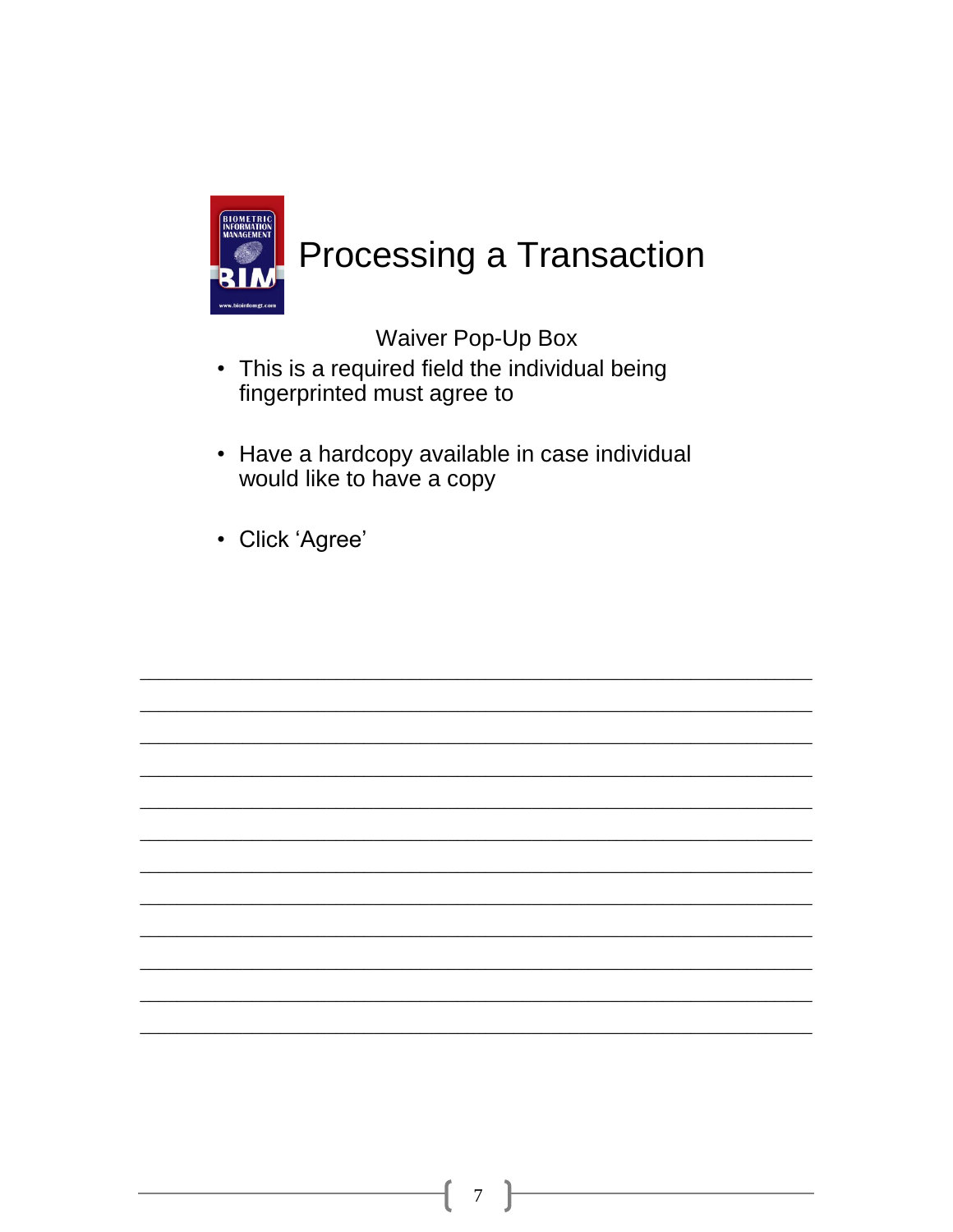

**Waiver Pop-Up Box** 

- This is a required field the individual being fingerprinted must agree to
- Have a hardcopy available in case individual would like to have a copy
- Click 'Agree'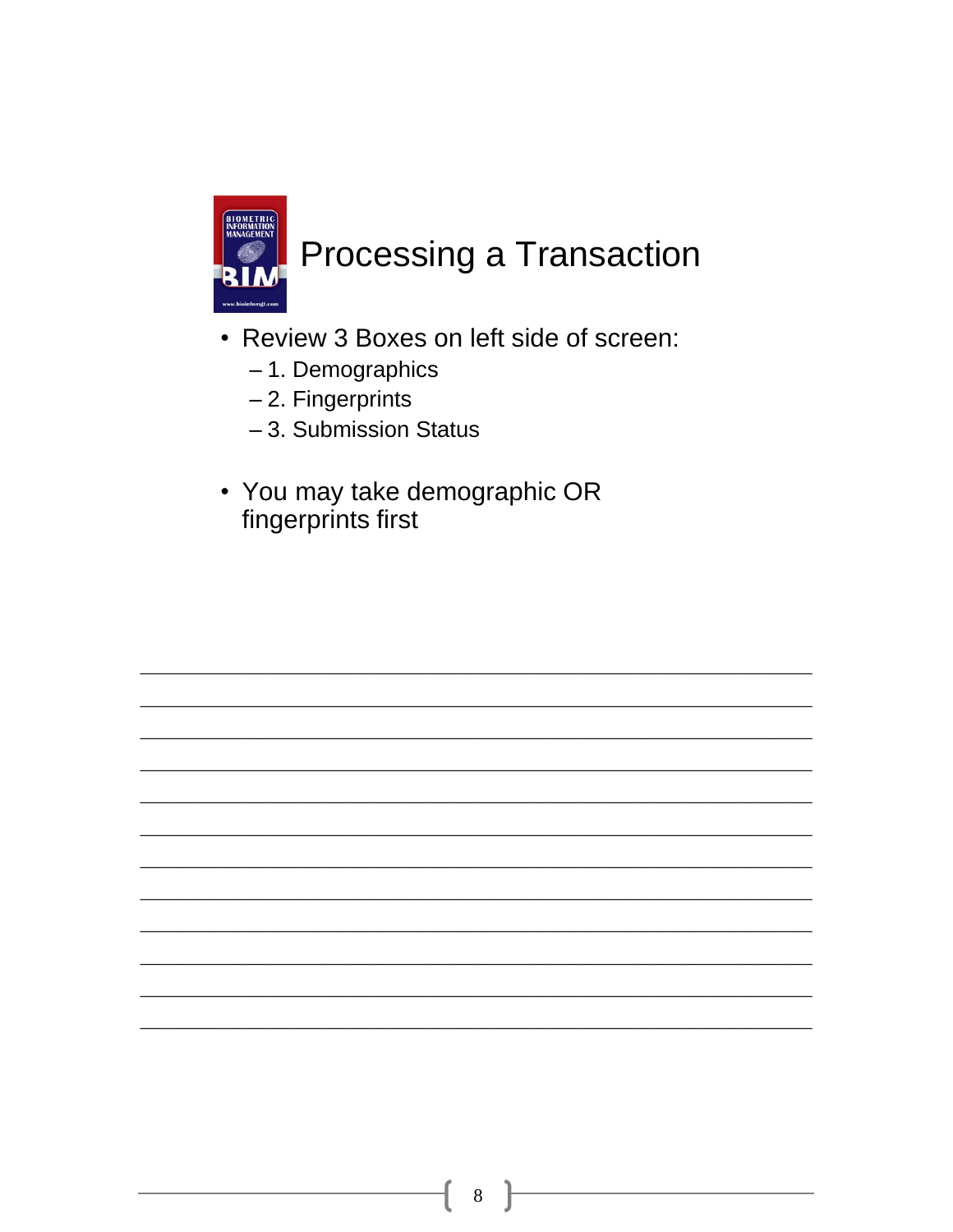

- Review 3 Boxes on left side of screen:
	- 1. Demographics
	- 2. Fingerprints
	- -3. Submission Status
- You may take demographic OR fingerprints first

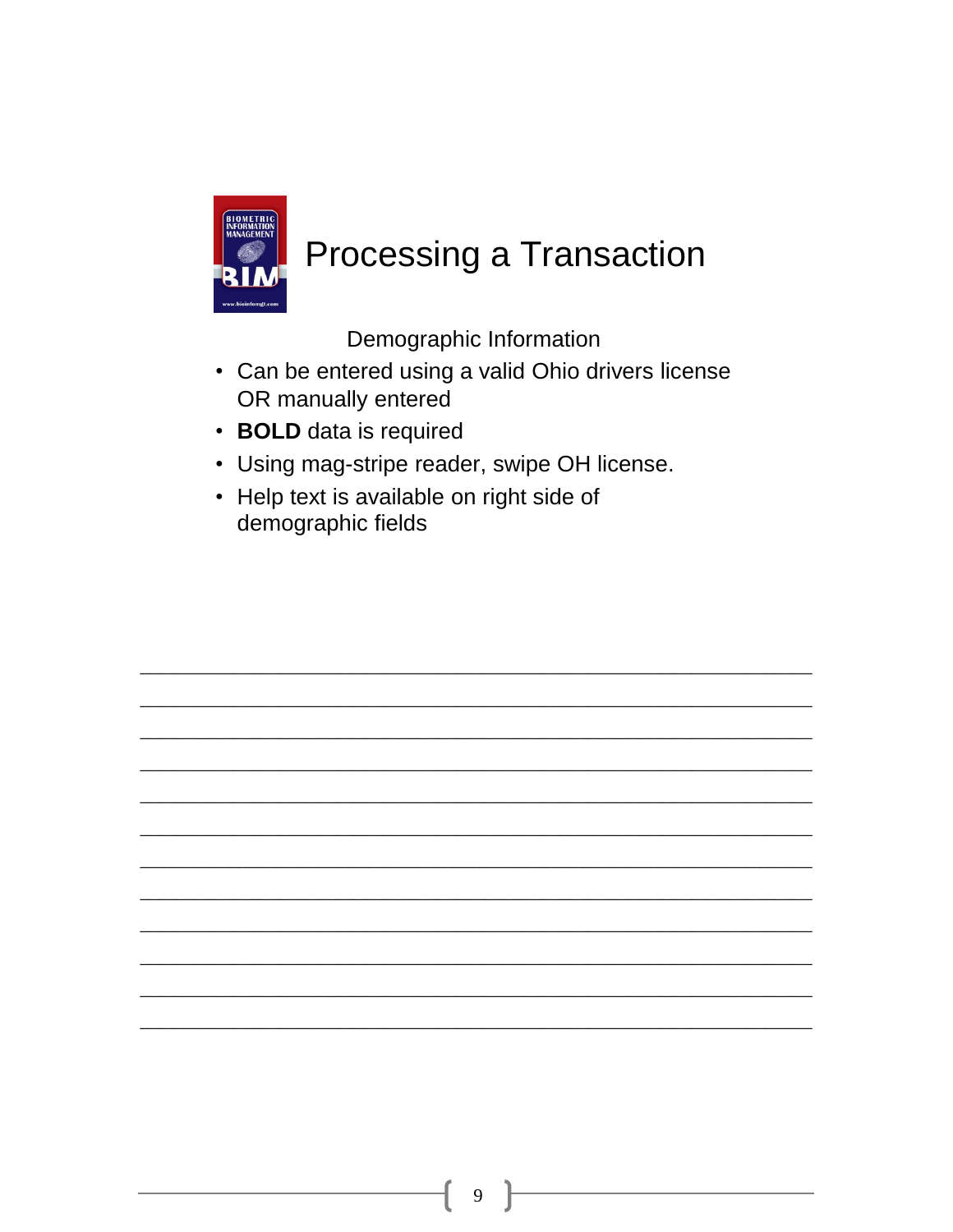

Demographic Information

- Can be entered using a valid Ohio drivers license OR manually entered
- BOLD data is required
- Using mag-stripe reader, swipe OH license.
- Help text is available on right side of demographic fields

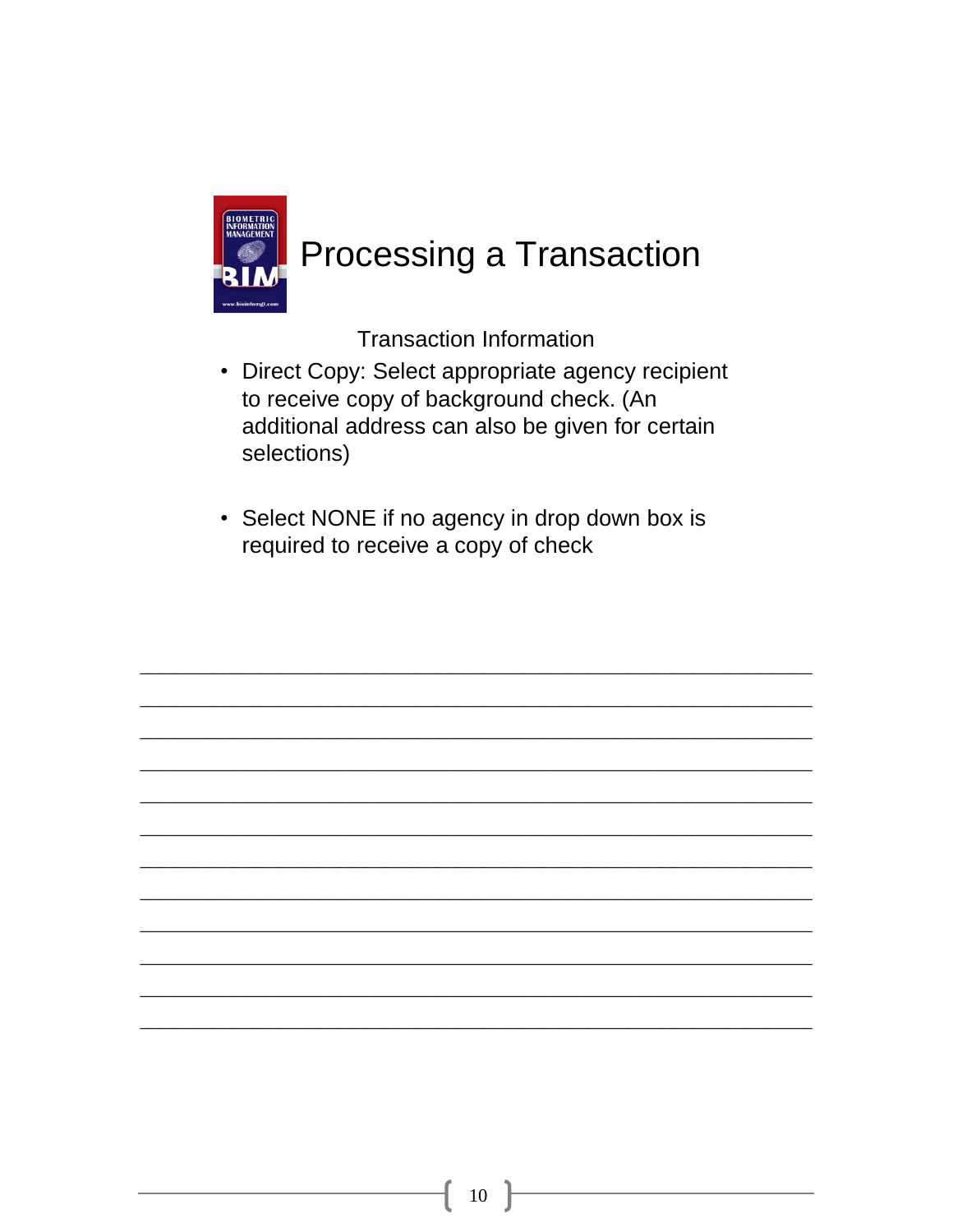

**Transaction Information** 

- Direct Copy: Select appropriate agency recipient to receive copy of background check. (An additional address can also be given for certain selections)
- Select NONE if no agency in drop down box is required to receive a copy of check

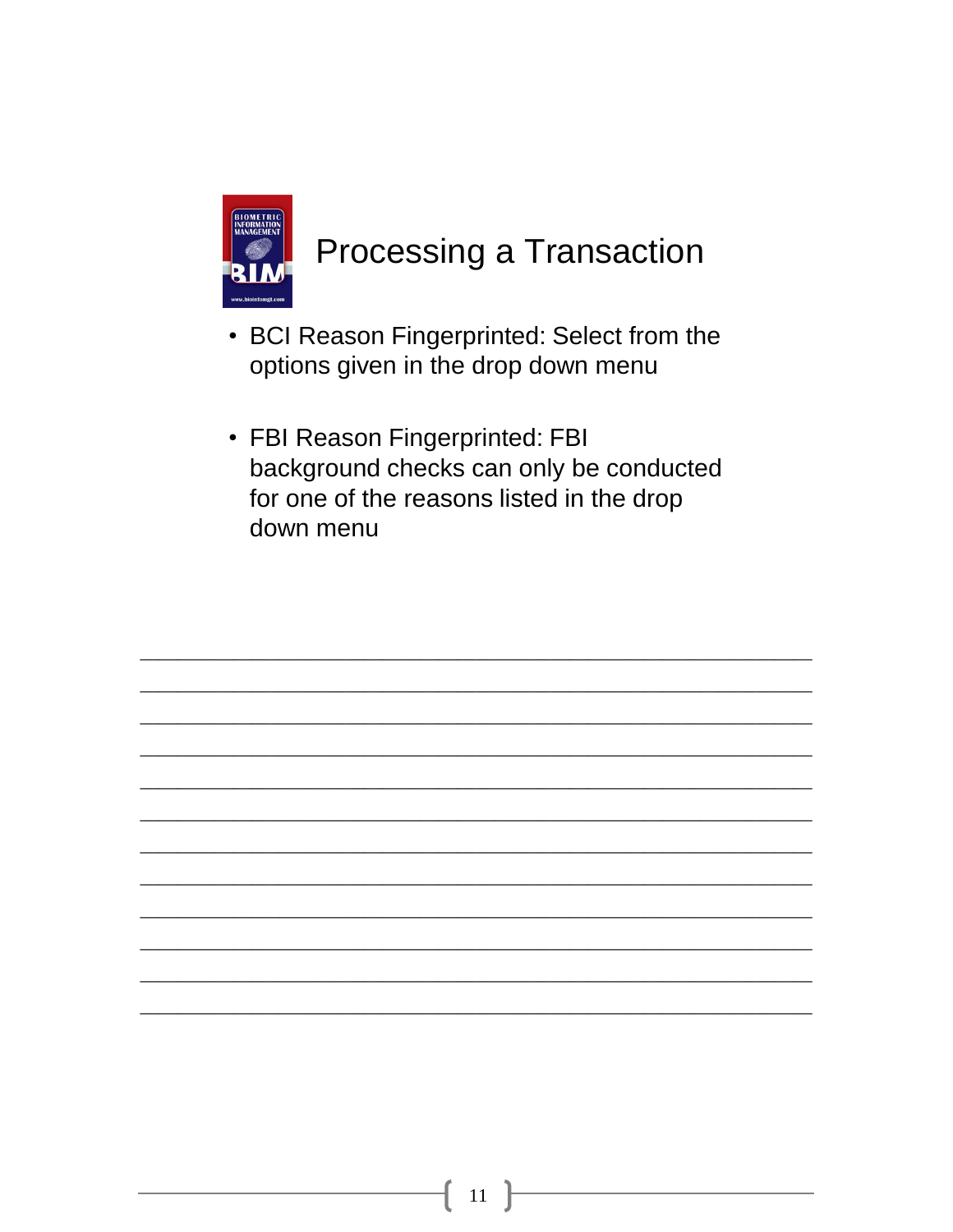

- BCI Reason Fingerprinted: Select from the options given in the drop down menu
- FBI Reason Fingerprinted: FBI background checks can only be conducted for one of the reasons listed in the drop down menu

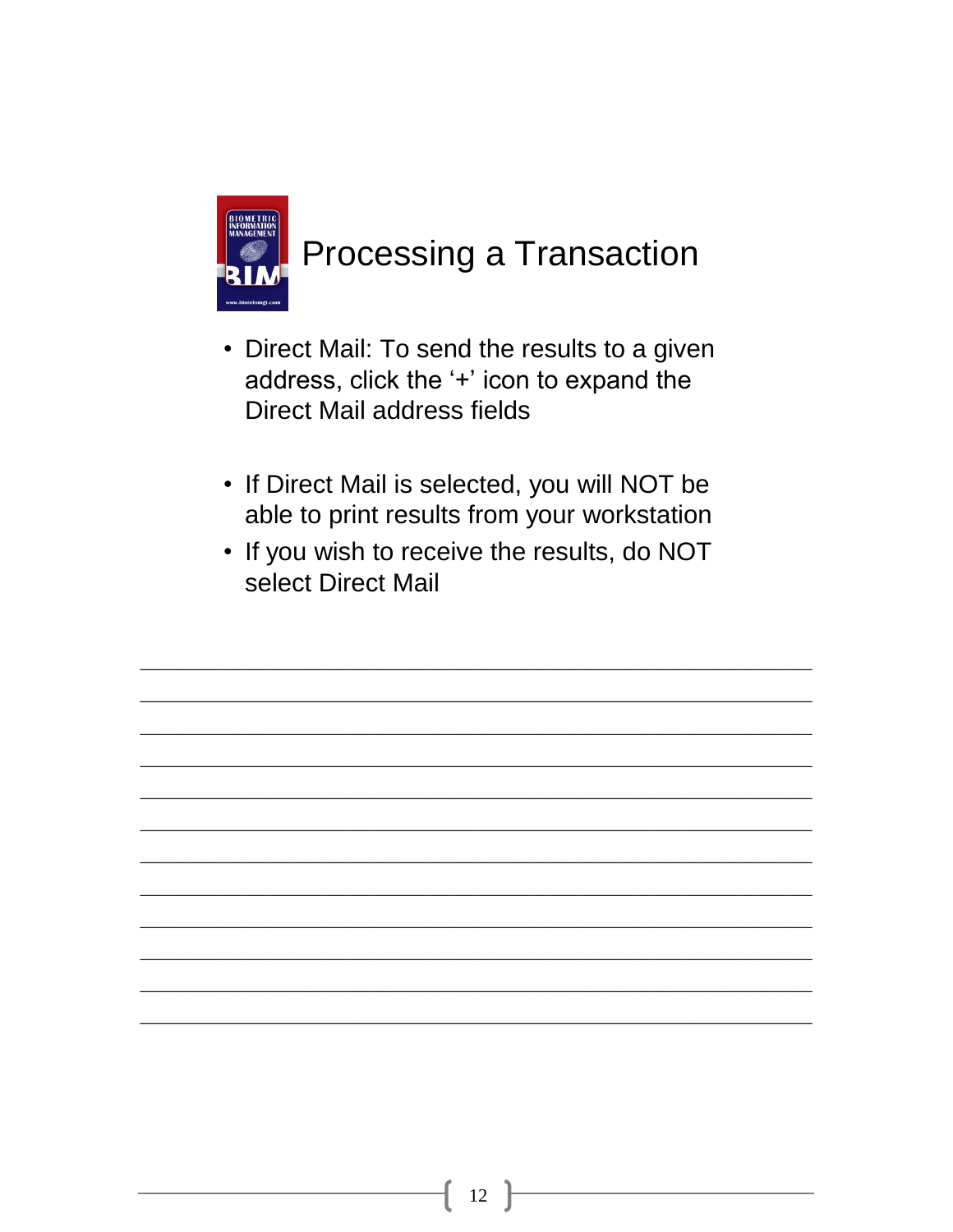

- Direct Mail: To send the results to a given address, click the '+' icon to expand the **Direct Mail address fields**
- If Direct Mail is selected, you will NOT be able to print results from your workstation
- If you wish to receive the results, do NOT select Direct Mail

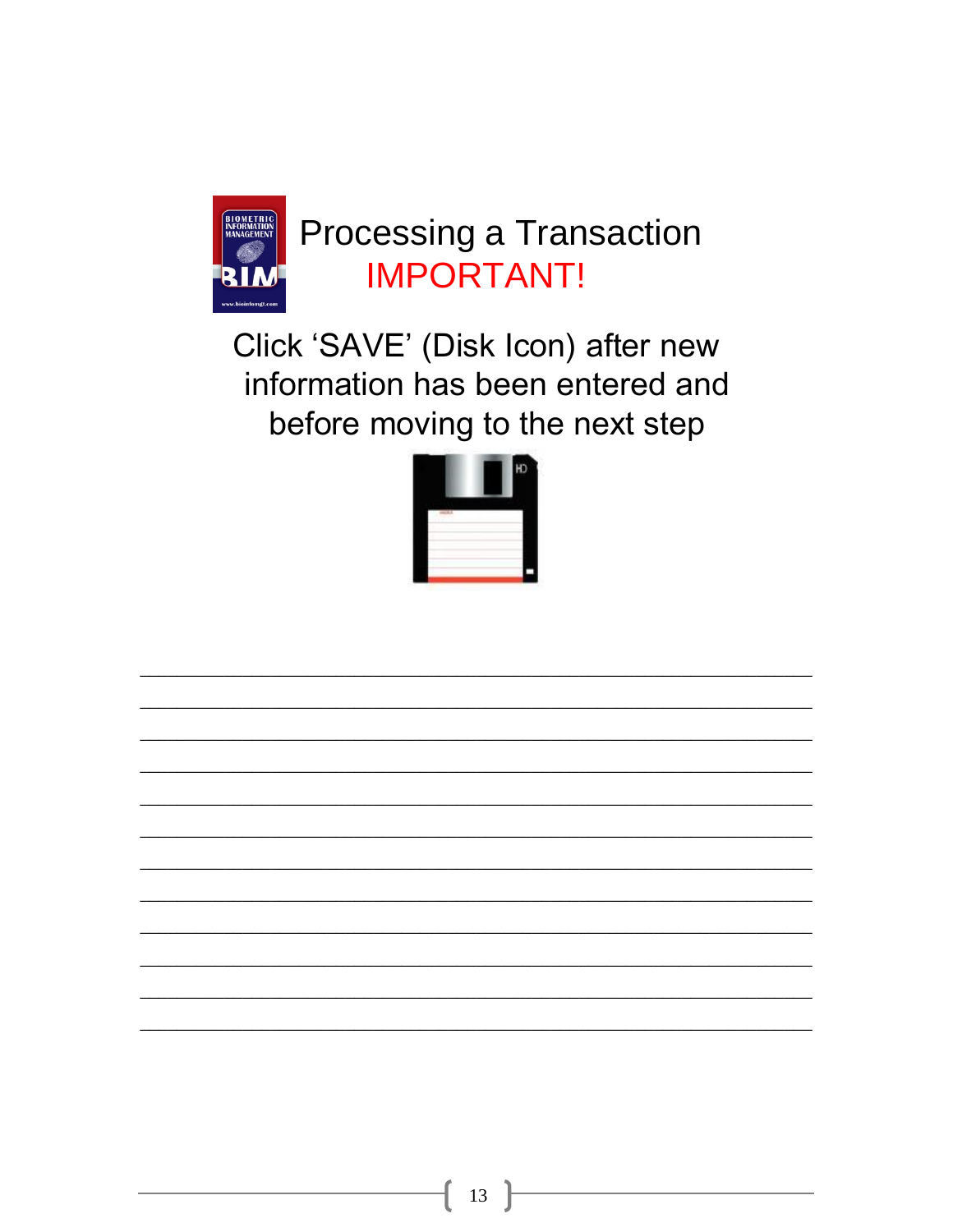

### Processing a Transaction **IMPORTANT!**

Click 'SAVE' (Disk Icon) after new information has been entered and before moving to the next step



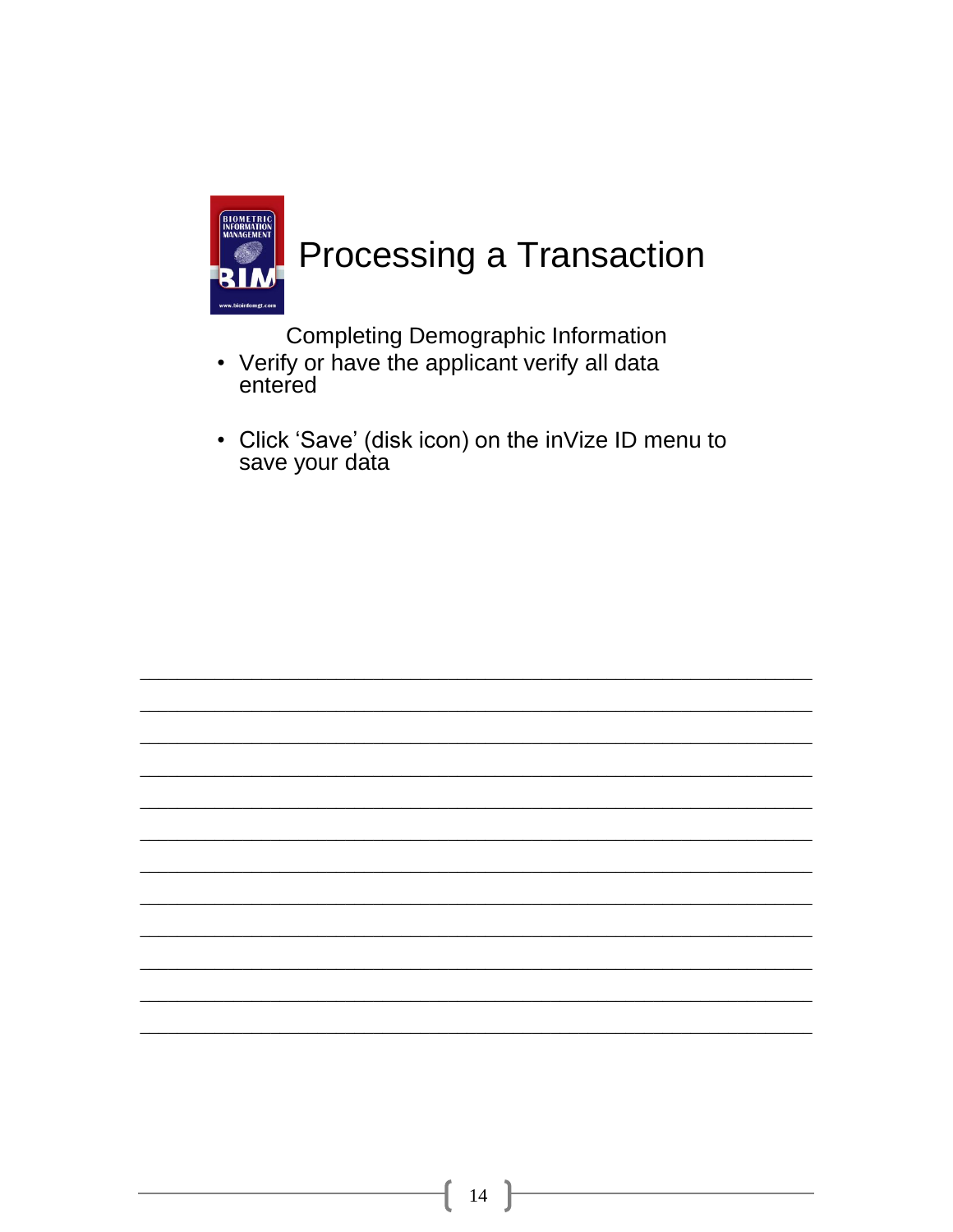

**Completing Demographic Information** 

- Verify or have the applicant verify all data entered
- Click 'Save' (disk icon) on the inVize ID menu to save your data

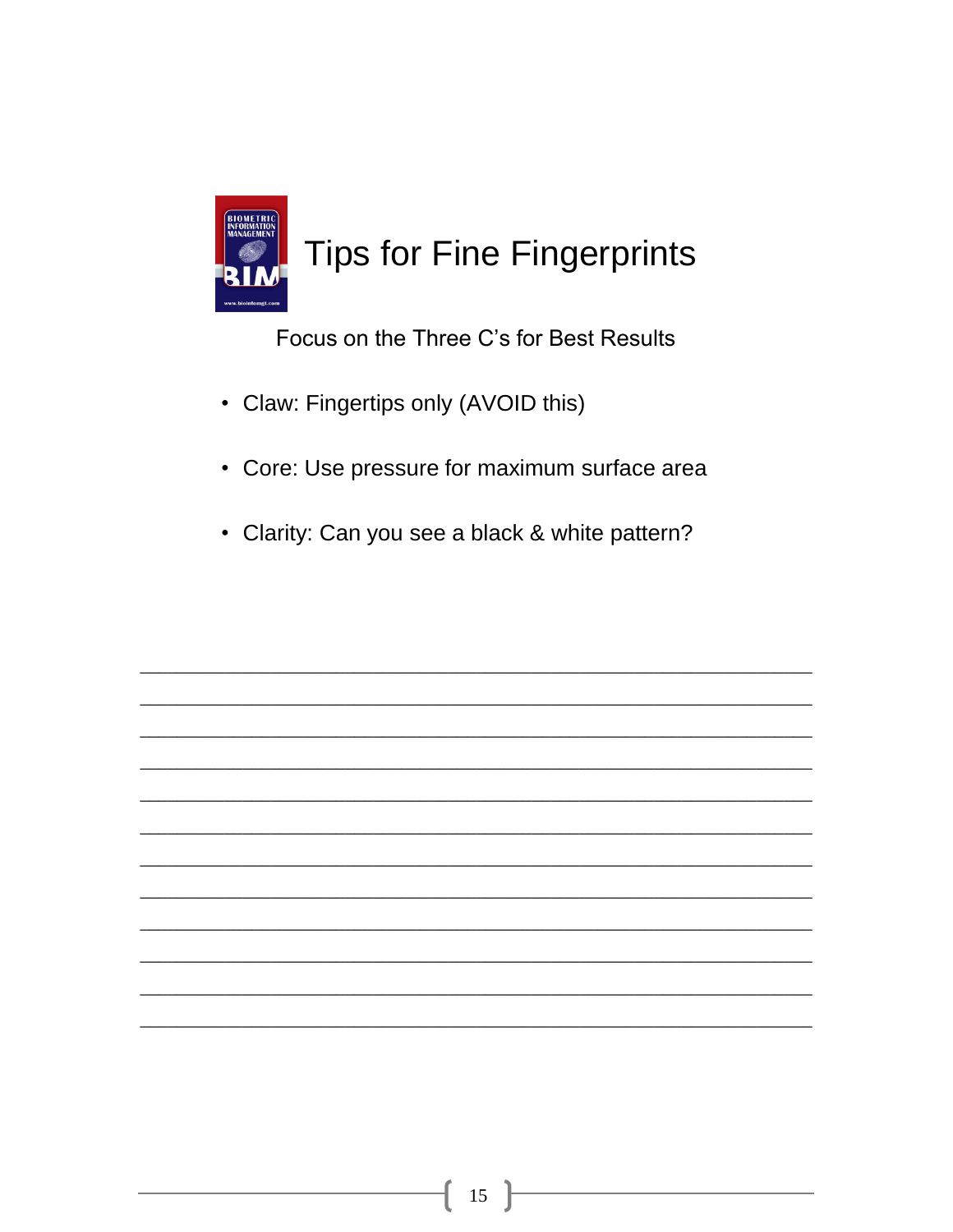

Focus on the Three C's for Best Results

- Claw: Fingertips only (AVOID this)
- Core: Use pressure for maximum surface area
- Clarity: Can you see a black & white pattern?

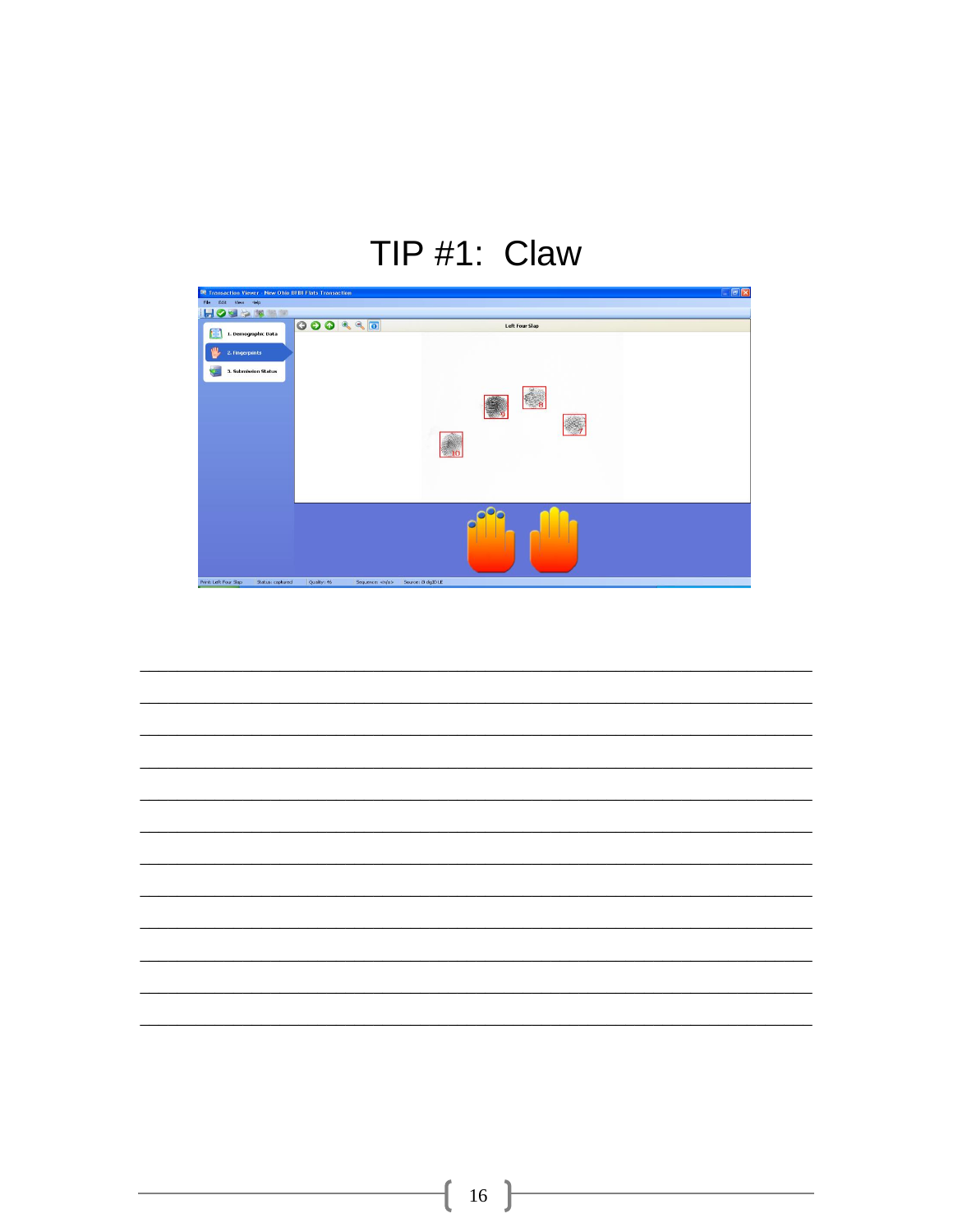### TIP #1: Claw



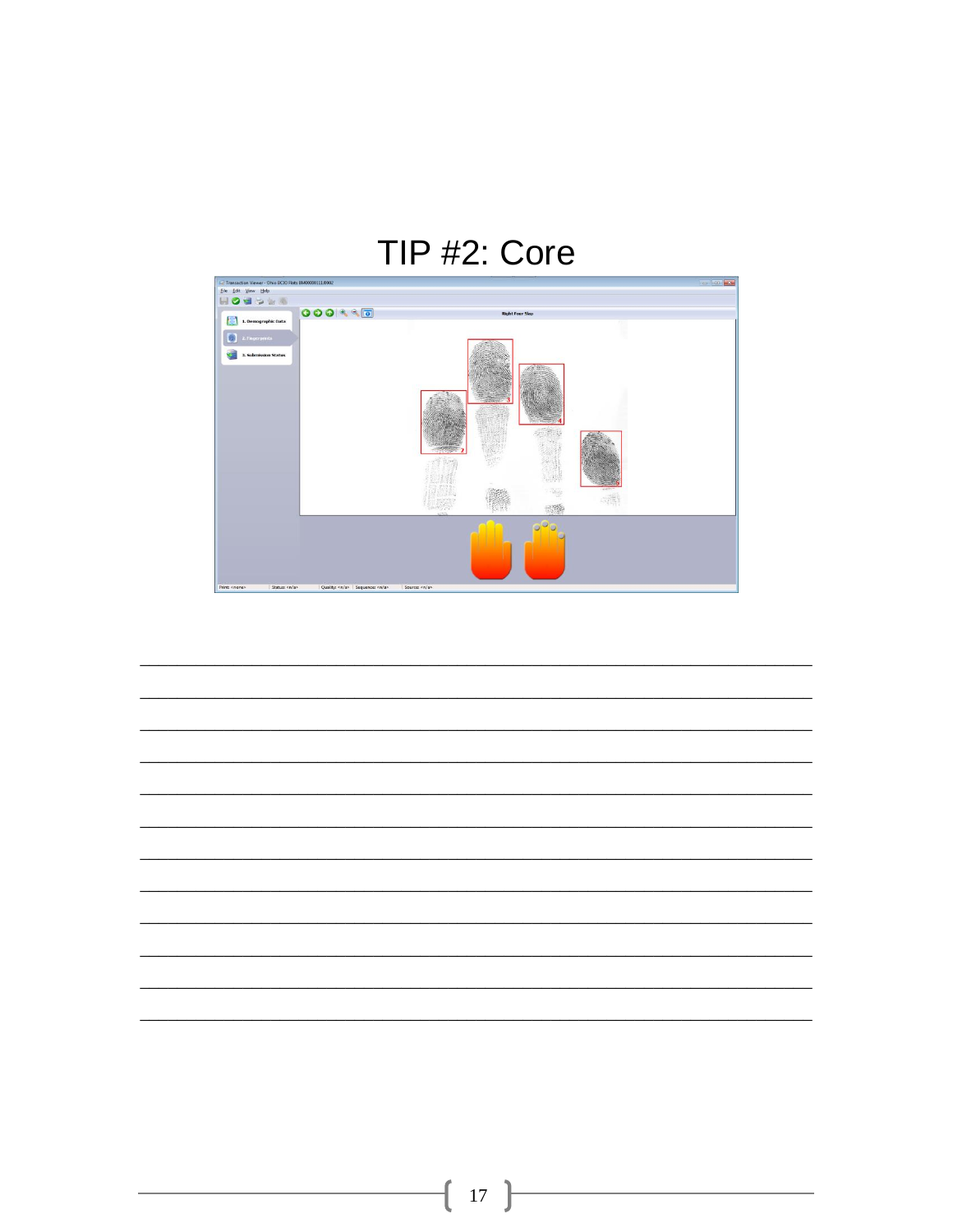#### TIP #2: Core



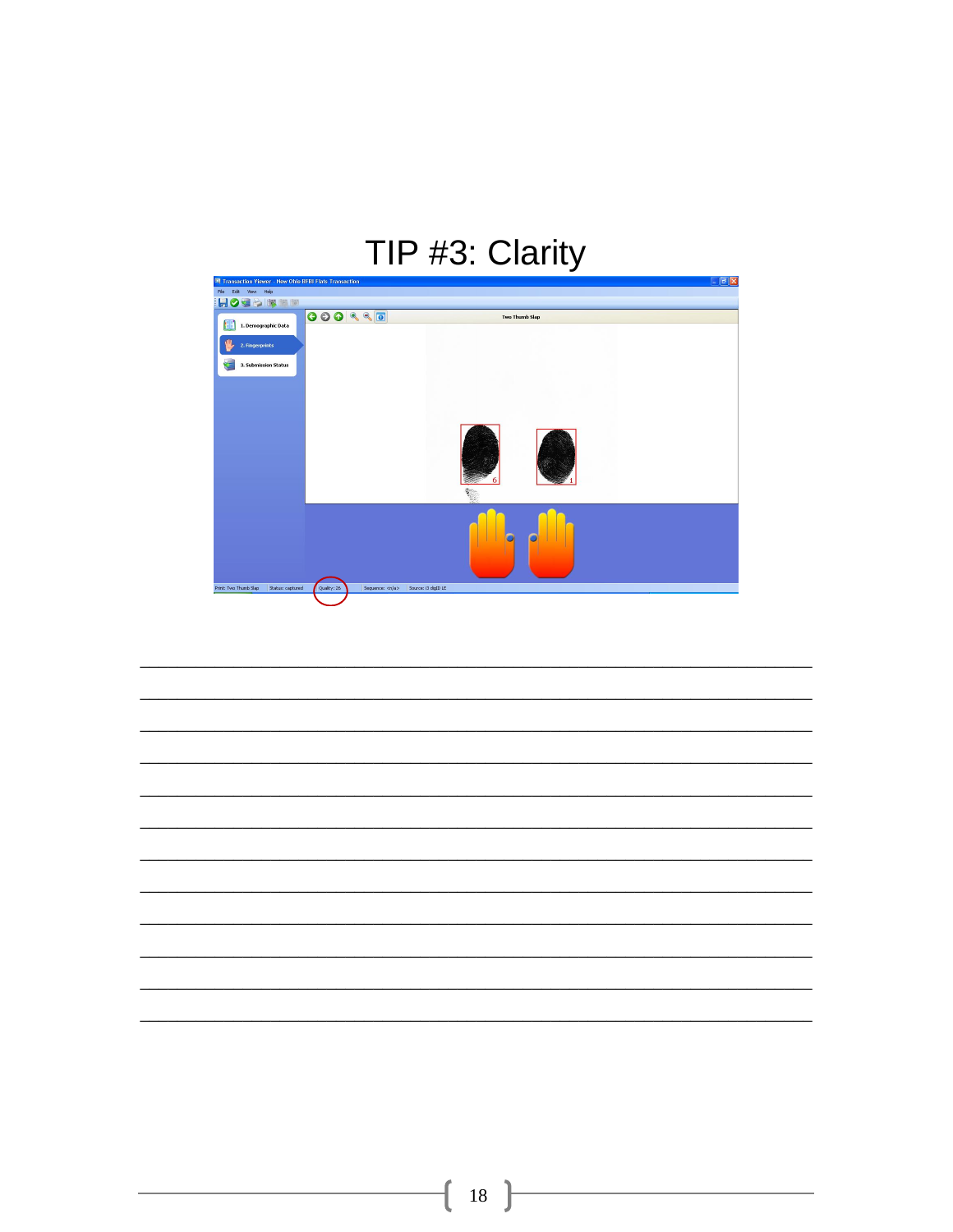## TIP #3: Clarity



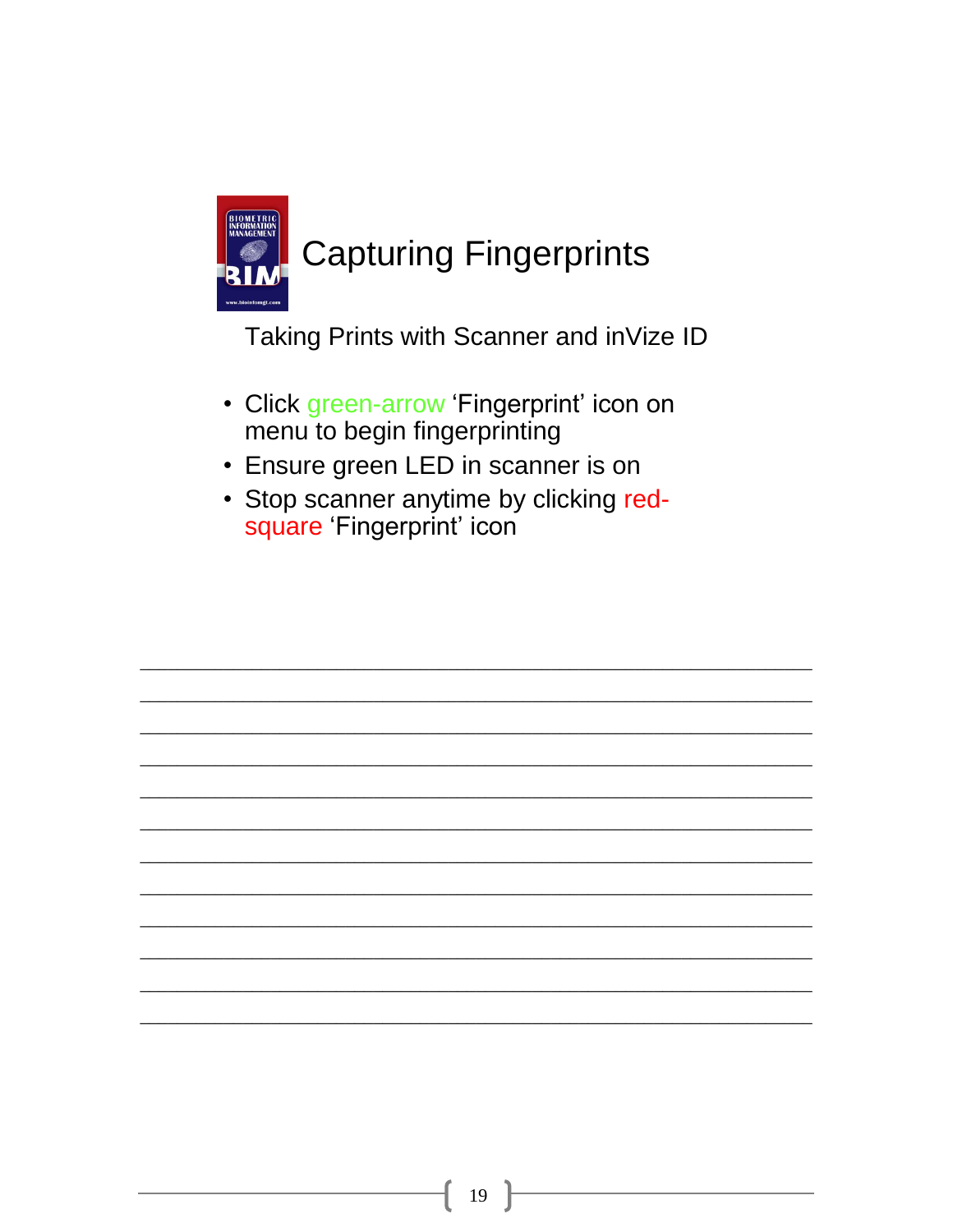

Taking Prints with Scanner and inVize ID

- Click green-arrow 'Fingerprint' icon on menu to begin fingerprinting
- Ensure green LED in scanner is on
- Stop scanner anytime by clicking redsquare 'Fingerprint' icon

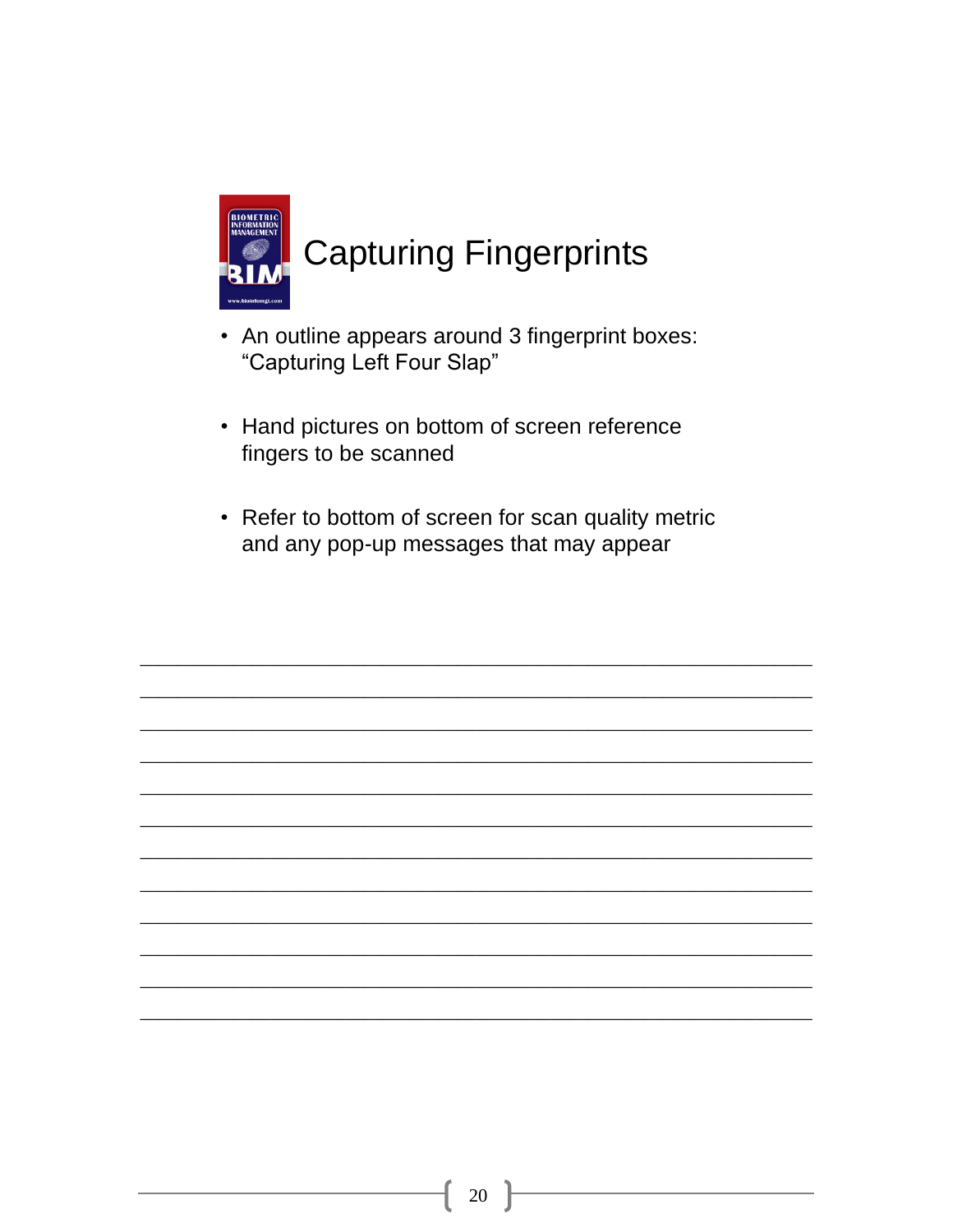

- An outline appears around 3 fingerprint boxes: "Capturing Left Four Slap"
- Hand pictures on bottom of screen reference fingers to be scanned
- Refer to bottom of screen for scan quality metric and any pop-up messages that may appear

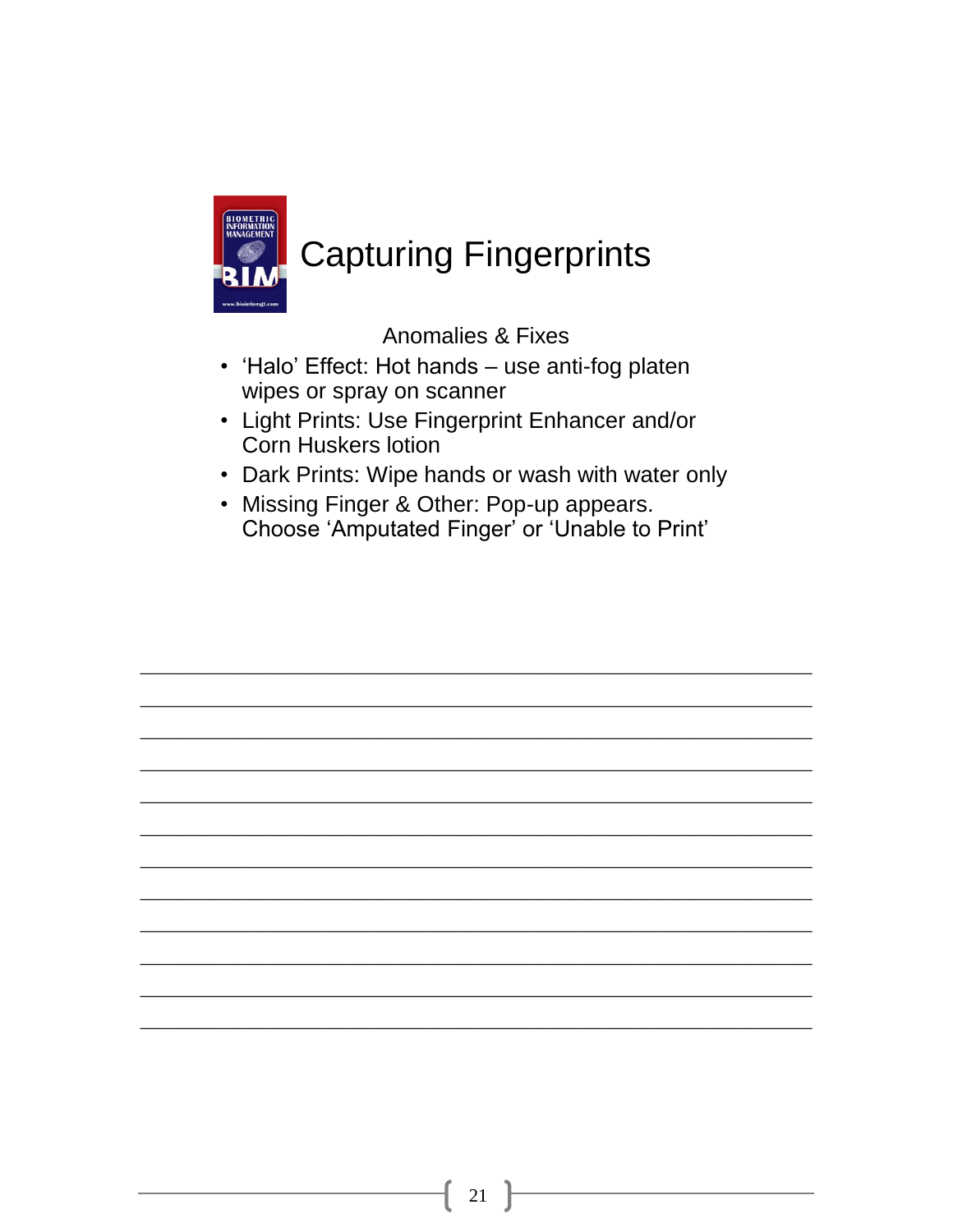

### **Capturing Fingerprints**

**Anomalies & Fixes** 

- 'Halo' Effect: Hot hands use anti-fog platen wipes or spray on scanner
- Light Prints: Use Fingerprint Enhancer and/or **Corn Huskers lotion**
- Dark Prints: Wipe hands or wash with water only
- Missing Finger & Other: Pop-up appears. Choose 'Amputated Finger' or 'Unable to Print'

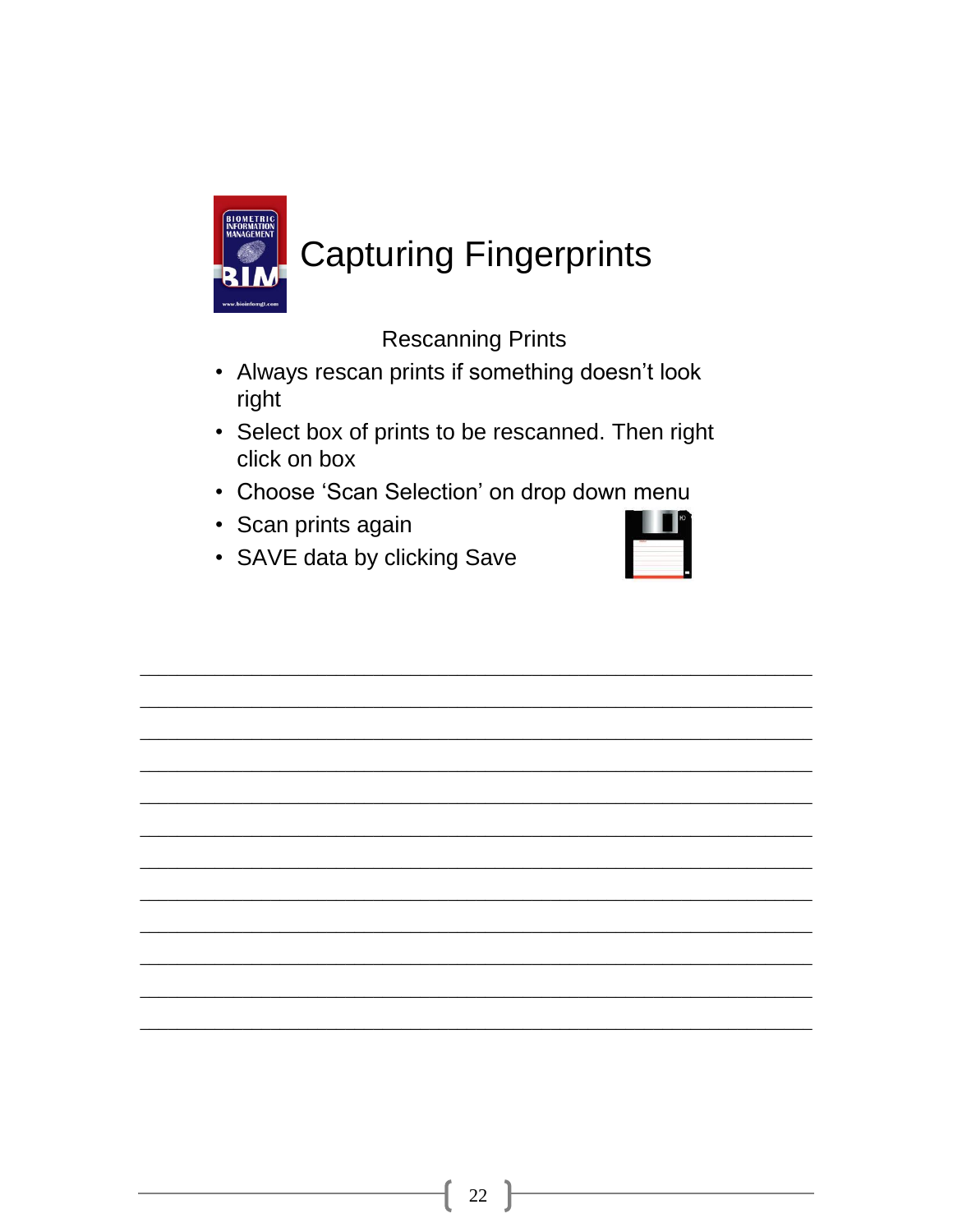

## **Capturing Fingerprints**

**Rescanning Prints** 

- Always rescan prints if something doesn't look right
- Select box of prints to be rescanned. Then right click on box
- Choose 'Scan Selection' on drop down menu
- Scan prints again

| $-1$<br>$\mathcal{N}$ |  |  |
|-----------------------|--|--|
|                       |  |  |
|                       |  |  |

• SAVE data by clicking Save

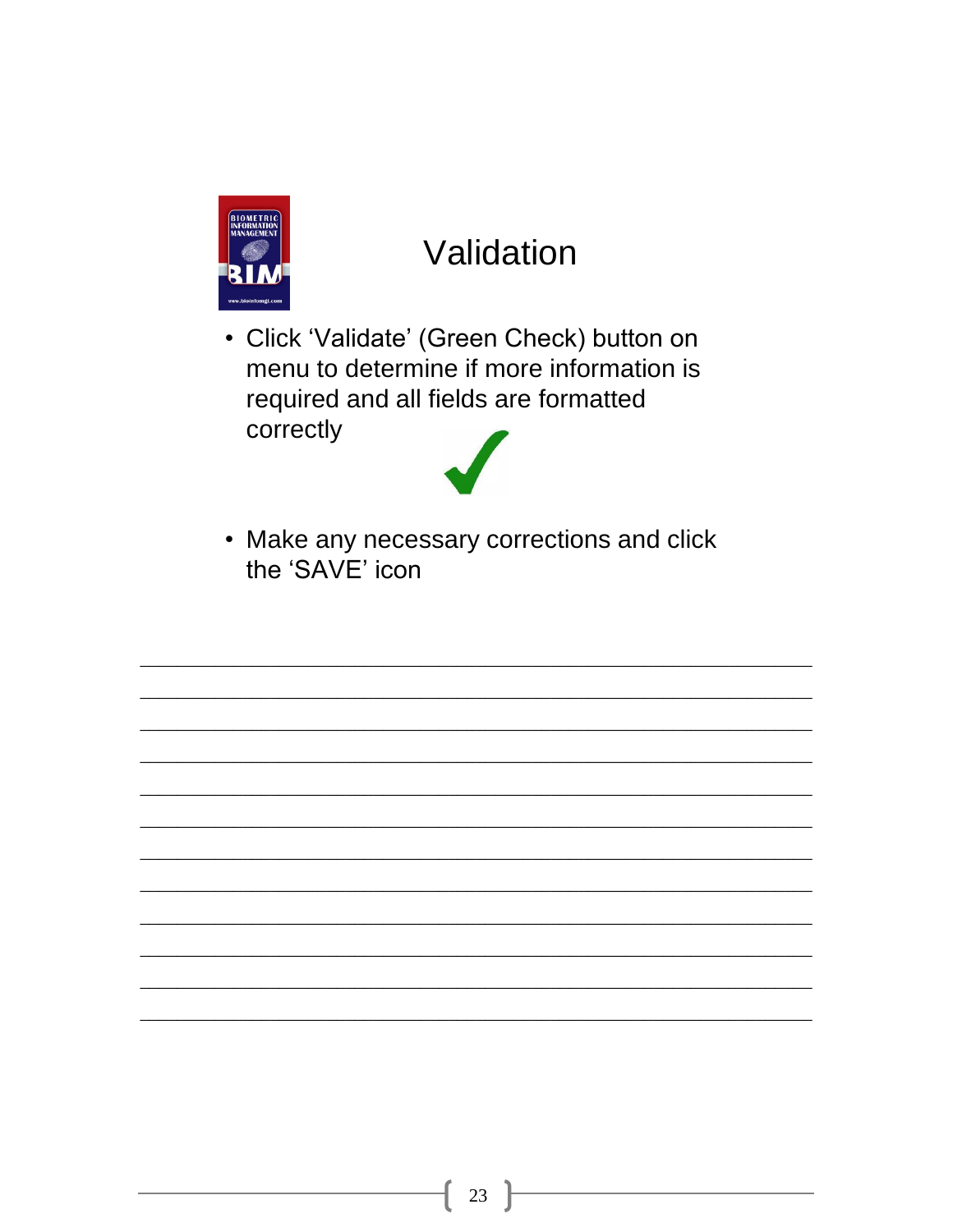

### Validation

• Click 'Validate' (Green Check) button on menu to determine if more information is required and all fields are formatted correctly



• Make any necessary corrections and click the 'SAVE' icon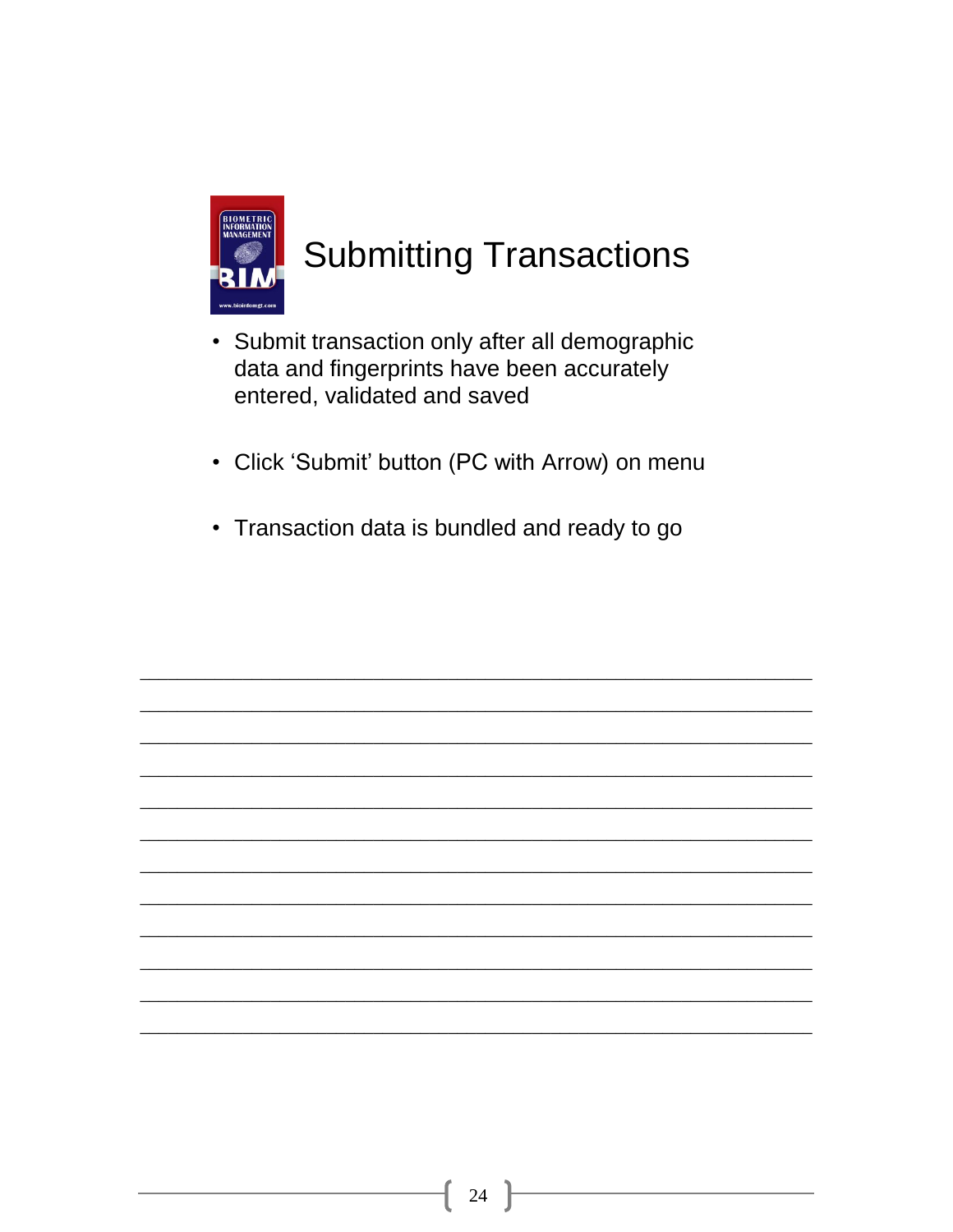

## **Submitting Transactions**

- Submit transaction only after all demographic data and fingerprints have been accurately entered, validated and saved
- Click 'Submit' button (PC with Arrow) on menu
- Transaction data is bundled and ready to go

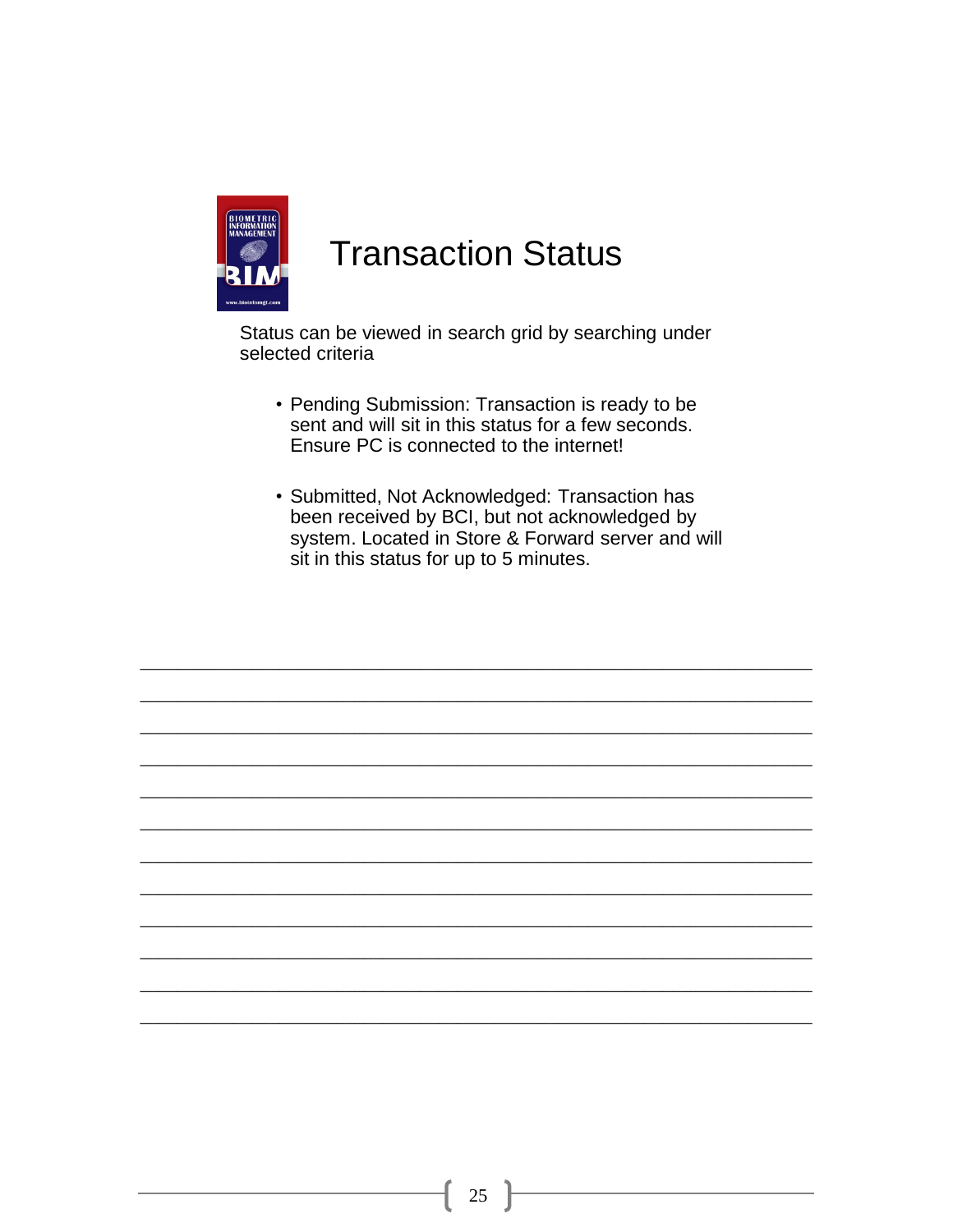

#### **Transaction Status**

Status can be viewed in search grid by searching under selected criteria

- Pending Submission: Transaction is ready to be sent and will sit in this status for a few seconds. Ensure PC is connected to the internet!
- Submitted, Not Acknowledged: Transaction has been received by BCI, but not acknowledged by system. Located in Store & Forward server and will sit in this status for up to 5 minutes.

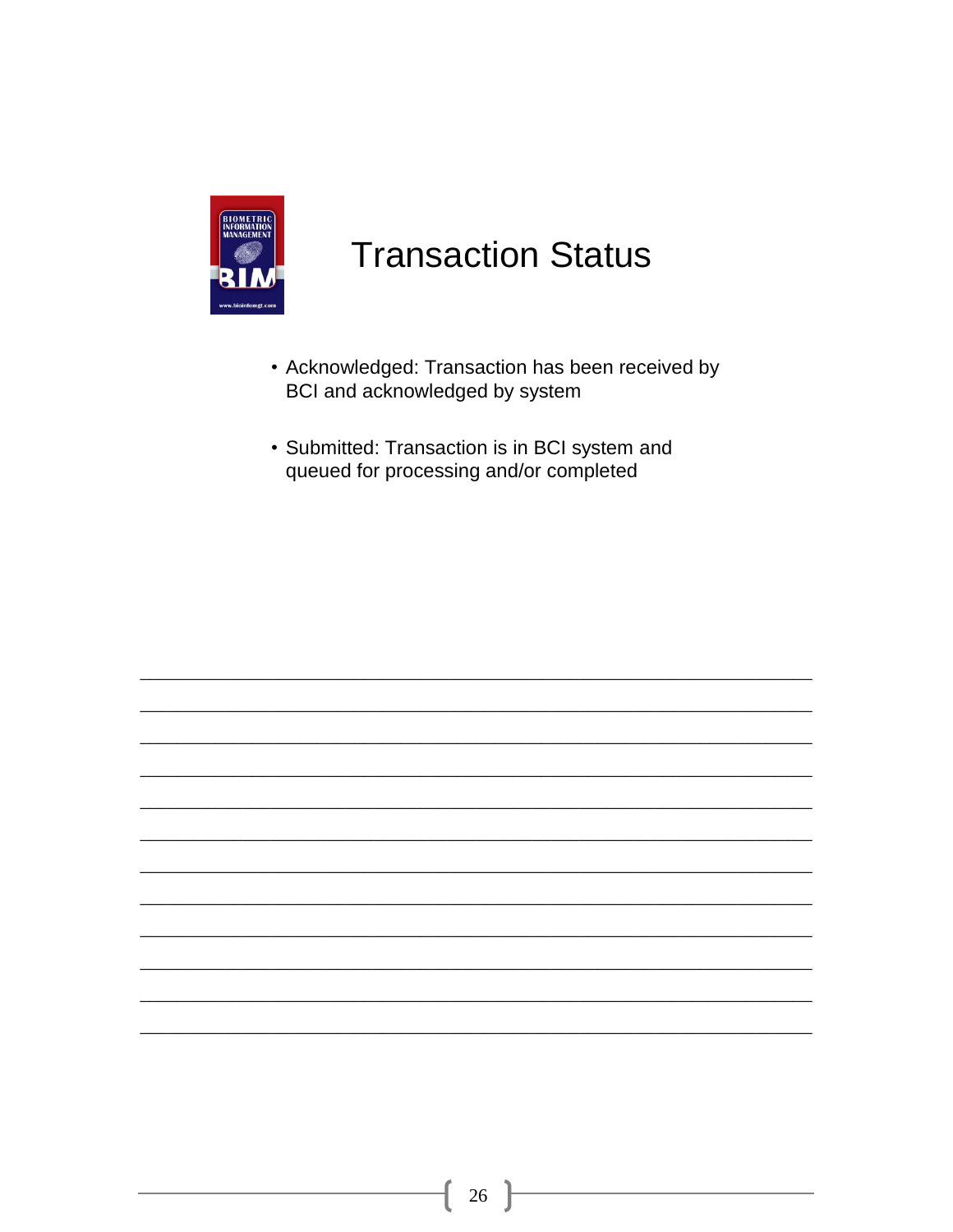

### **Transaction Status**

- Acknowledged: Transaction has been received by BCI and acknowledged by system
- Submitted: Transaction is in BCI system and queued for processing and/or completed

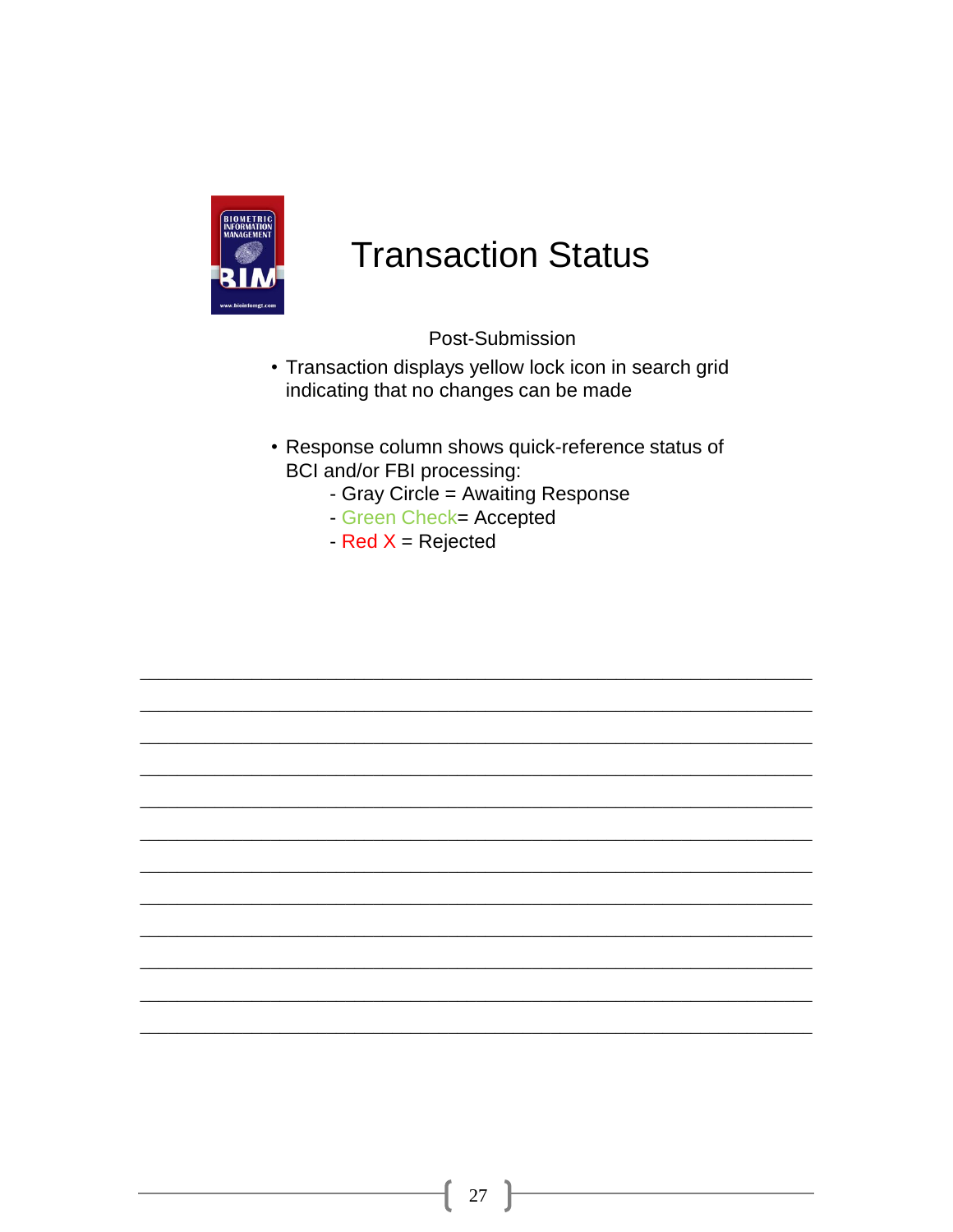

#### **Transaction Status**

Post-Submission

- Transaction displays yellow lock icon in search grid indicating that no changes can be made
- Response column shows quick-reference status of BCI and/or FBI processing:
	- Gray Circle = Awaiting Response
	- Green Check= Accepted
	- $-$  Red X = Rejected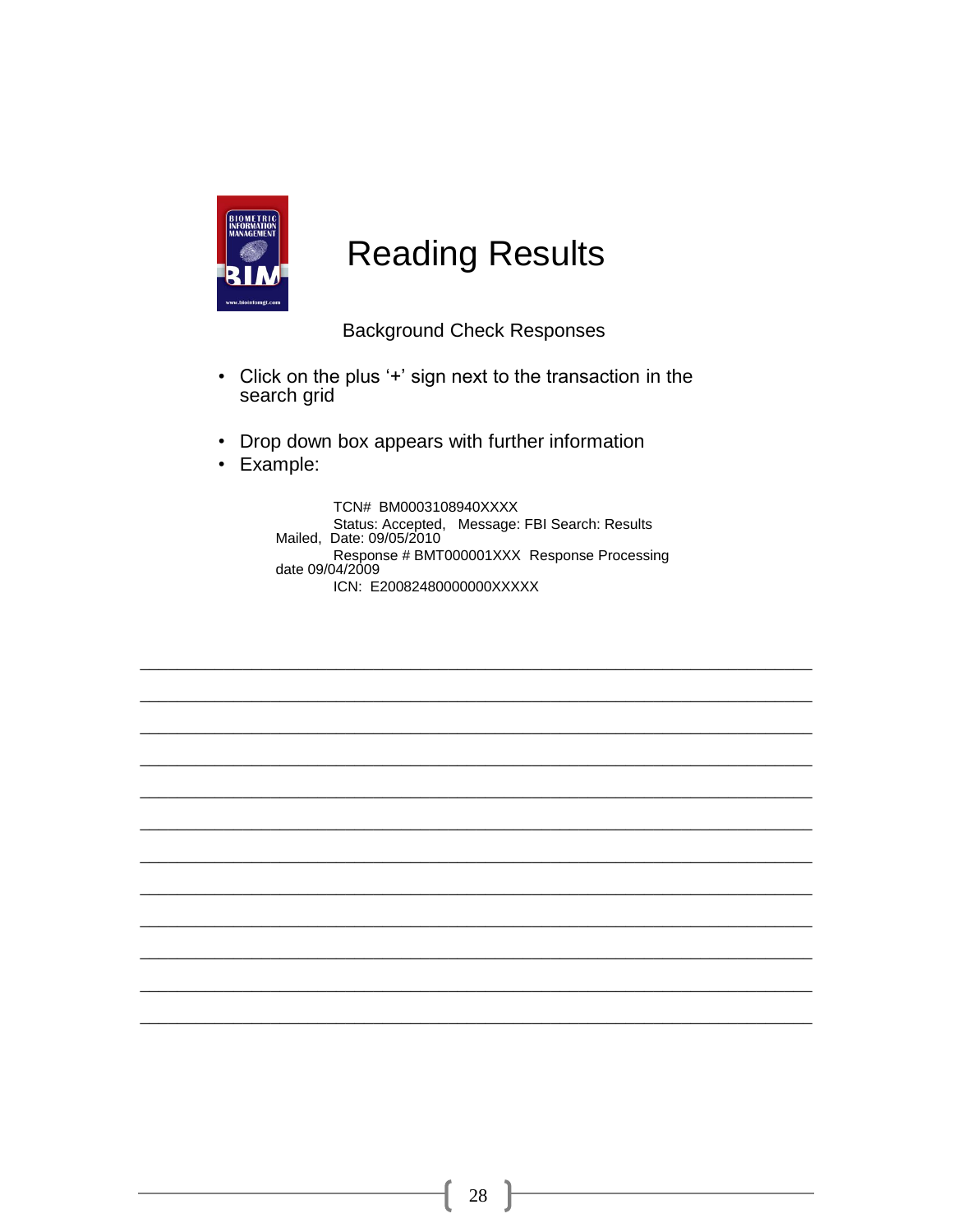

#### **Reading Results**

**Background Check Responses** 

- Click on the plus '+' sign next to the transaction in the search grid
- Drop down box appears with further information
- Example:

TCN# BM0003108940XXXX Status: Accepted, Message: FBI Search: Results Mailed, Date: 09/05/2010 Response # BMT000001XXX Response Processing<br>date 09/04/2009 ICN: E20082480000000XXXXX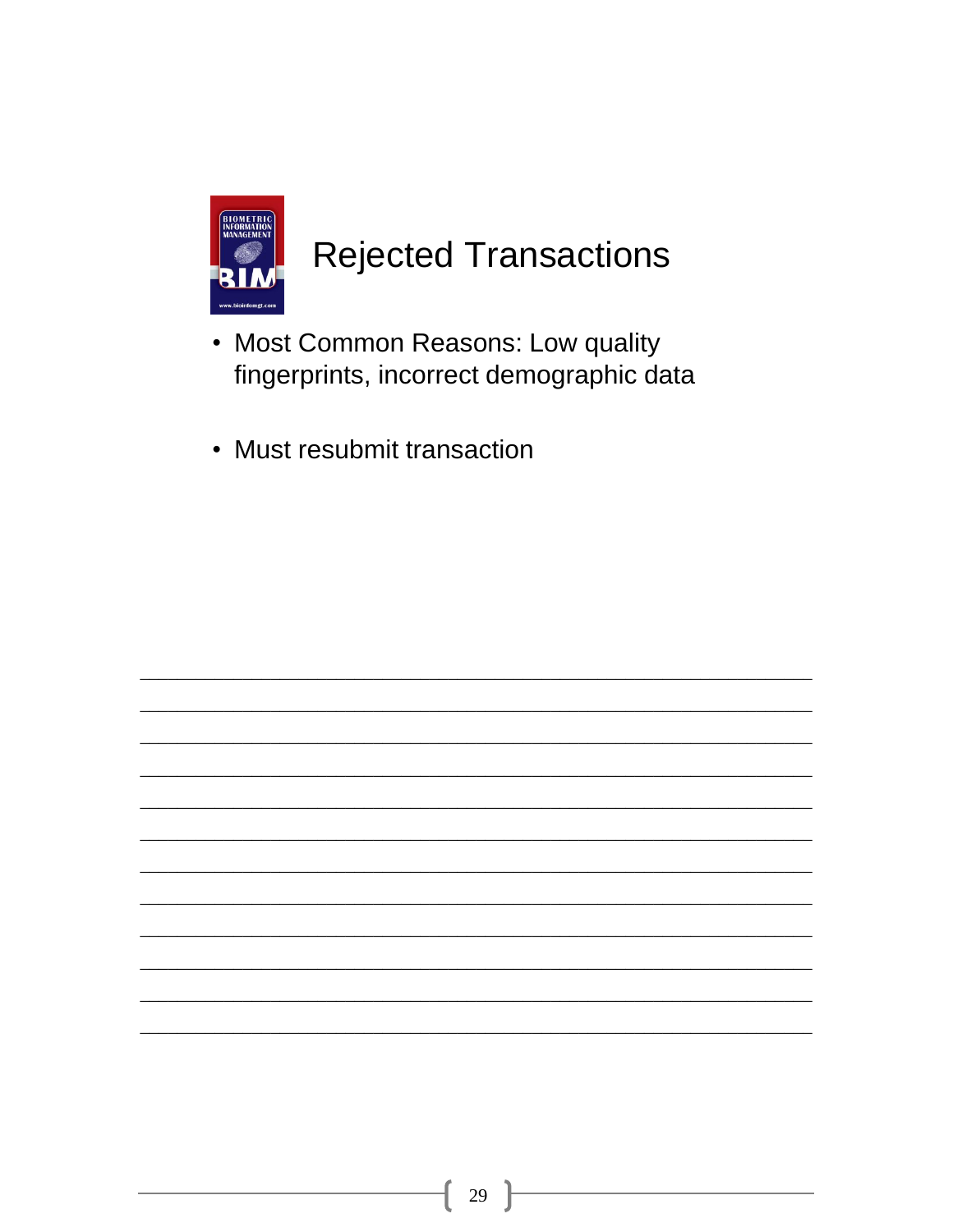

### **Rejected Transactions**

- Most Common Reasons: Low quality fingerprints, incorrect demographic data
- Must resubmit transaction

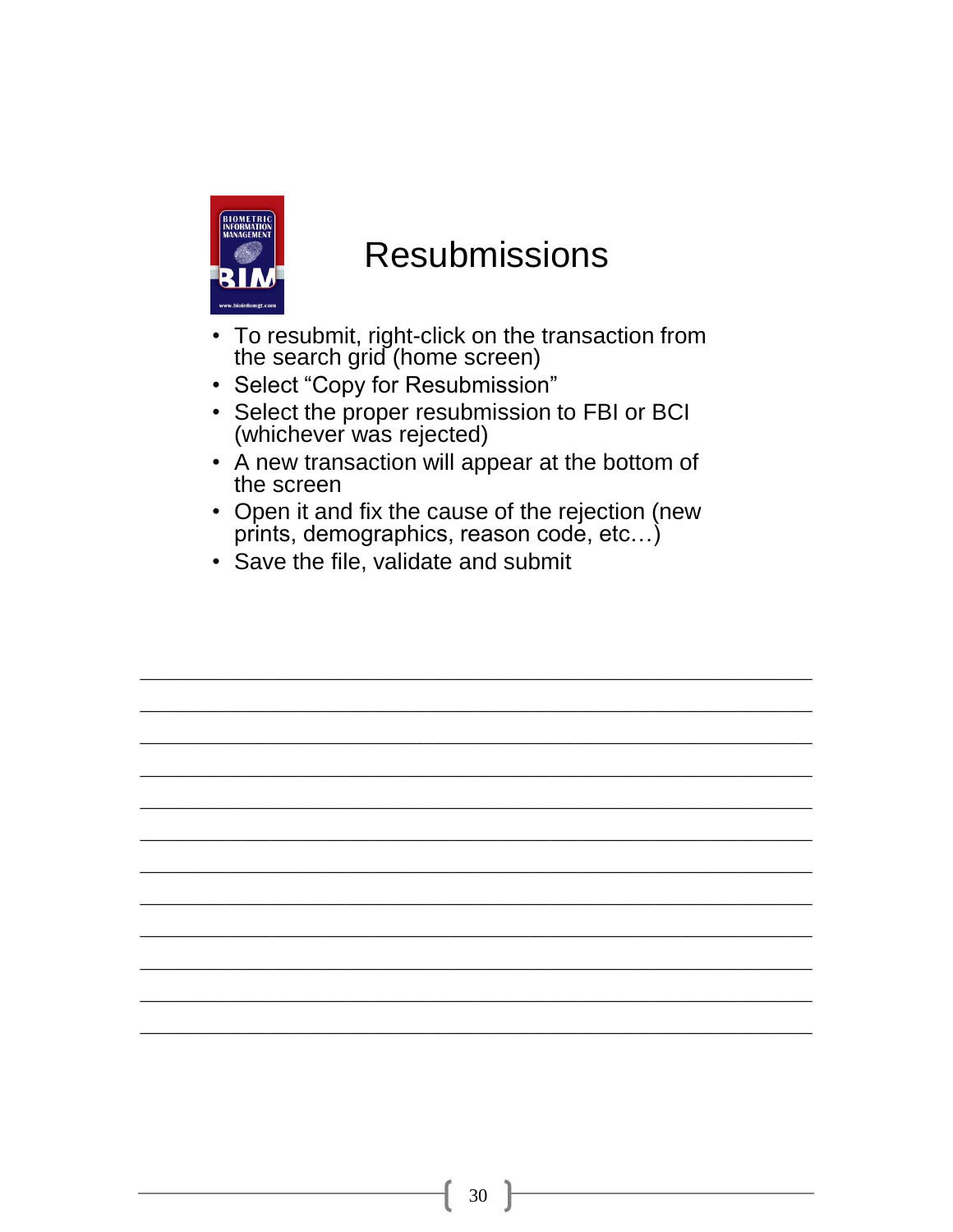

#### **Resubmissions**

- To resubmit, right-click on the transaction from<br>the search grid (home screen)
- Select "Copy for Resubmission"
- Select the proper resubmission to FBI or BCI (whichever was rejected)
- A new transaction will appear at the bottom of the screen
- Open it and fix the cause of the rejection (new prints, demographics, reason code, etc...)
- Save the file, validate and submit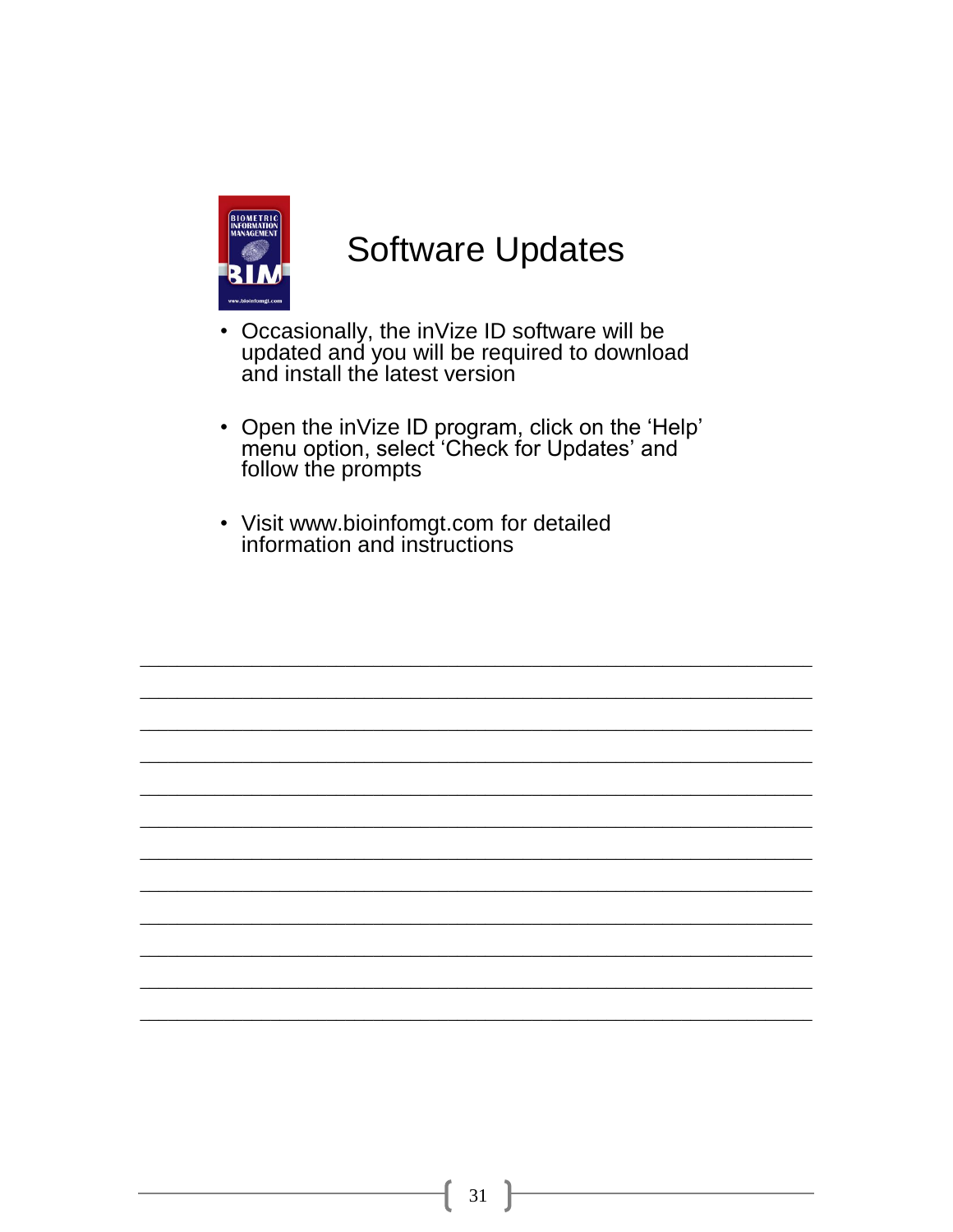

#### **Software Updates**

- Occasionally, the inVize ID software will be<br>updated and you will be required to download and install the latest version
- Open the inVize ID program, click on the 'Help'<br>menu option, select 'Check for Updates' and follow the prompts
- Visit www.bioinfomgt.com for detailed<br>information and instructions